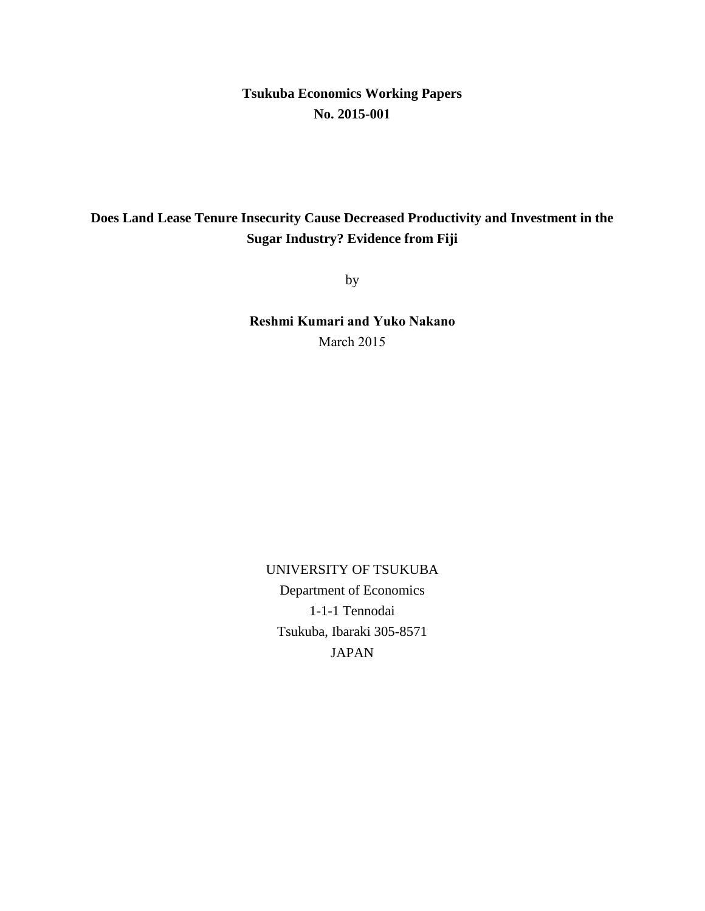**Tsukuba Economics Working Papers No. 2015-001**

# **Does Land Lease Tenure Insecurity Cause Decreased Productivity and Investment in the Sugar Industry? Evidence from Fiji**

by

**Reshmi Kumari and Yuko Nakano** March 2015

UNIVERSITY OF TSUKUBA Department of Economics 1-1-1 Tennodai Tsukuba, Ibaraki 305-8571 JAPAN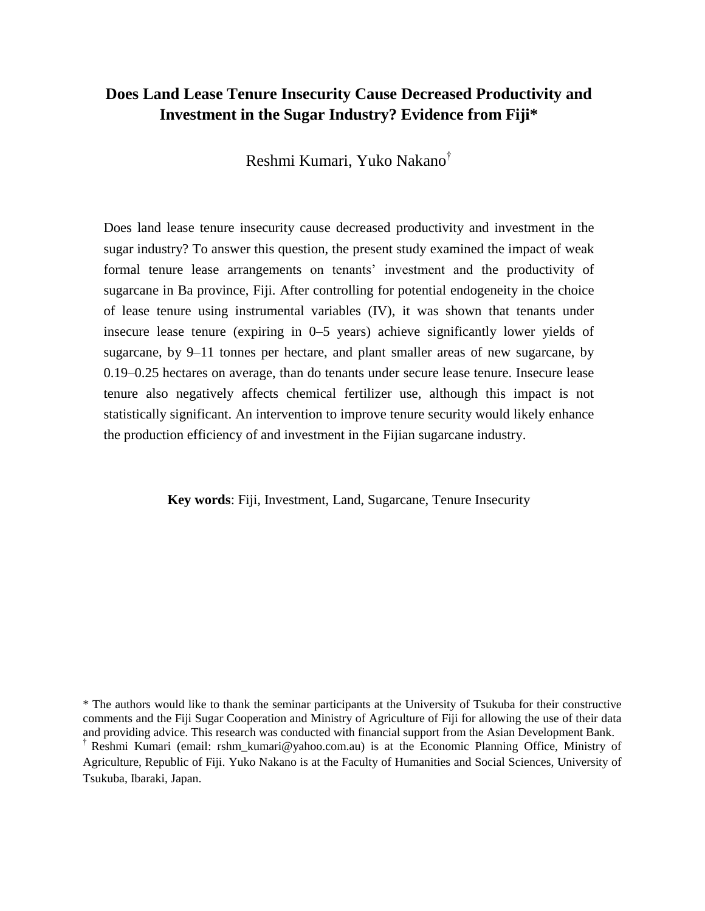# **Does Land Lease Tenure Insecurity Cause Decreased Productivity and Investment in the Sugar Industry? Evidence from Fiji\***

Reshmi Kumari, Yuko Nakano†

Does land lease tenure insecurity cause decreased productivity and investment in the sugar industry? To answer this question, the present study examined the impact of weak formal tenure lease arrangements on tenants' investment and the productivity of sugarcane in Ba province, Fiji. After controlling for potential endogeneity in the choice of lease tenure using instrumental variables (IV), it was shown that tenants under insecure lease tenure (expiring in 0–5 years) achieve significantly lower yields of sugarcane, by 9–11 tonnes per hectare, and plant smaller areas of new sugarcane, by 0.19–0.25 hectares on average, than do tenants under secure lease tenure. Insecure lease tenure also negatively affects chemical fertilizer use, although this impact is not statistically significant. An intervention to improve tenure security would likely enhance the production efficiency of and investment in the Fijian sugarcane industry.

**Key words**: Fiji, Investment, Land, Sugarcane, Tenure Insecurity

\* The authors would like to thank the seminar participants at the University of Tsukuba for their constructive comments and the Fiji Sugar Cooperation and Ministry of Agriculture of Fiji for allowing the use of their data and providing advice. This research was conducted with financial support from the Asian Development Bank. † Reshmi Kumari (email: [rshm\\_kumari@yahoo.com.](mailto:rshm_kumari@yahoo.com)au) is at the Economic Planning Office, Ministry of

Agriculture, Republic of Fiji. Yuko Nakano is at the Faculty of Humanities and Social Sciences, University of Tsukuba, Ibaraki, Japan.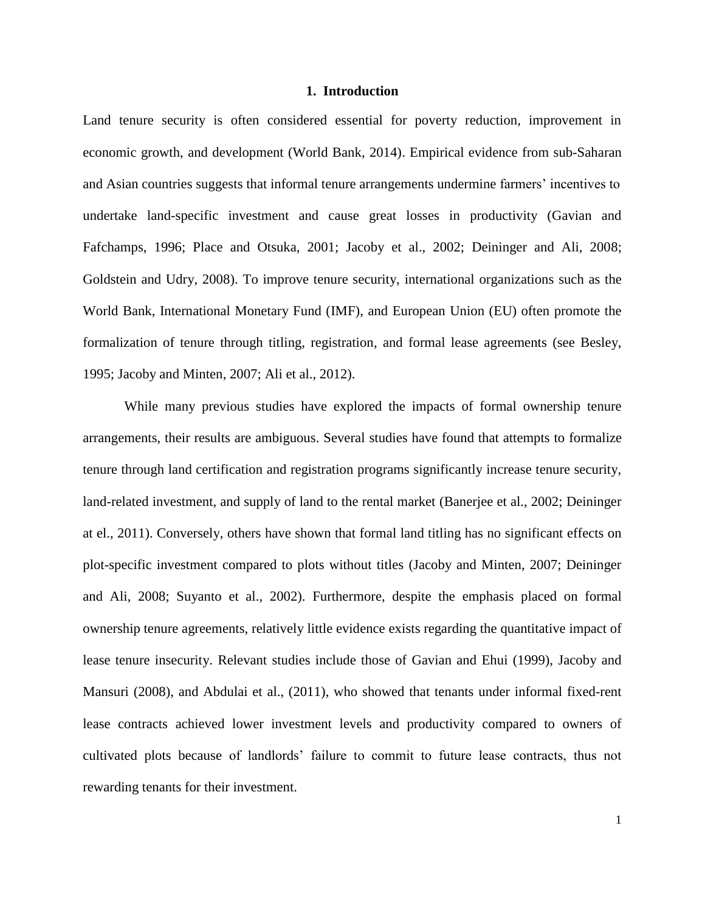### **1. Introduction**

Land tenure security is often considered essential for poverty reduction, improvement in economic growth, and development (World Bank, 2014). Empirical evidence from sub-Saharan and Asian countries suggests that informal tenure arrangements undermine farmers' incentives to undertake land-specific investment and cause great losses in productivity (Gavian and Fafchamps, 1996; Place and Otsuka, 2001; Jacoby et al., 2002; Deininger and Ali, 2008; Goldstein and Udry, 2008). To improve tenure security, international organizations such as the World Bank, International Monetary Fund (IMF), and European Union (EU) often promote the formalization of tenure through titling, registration, and formal lease agreements (see Besley, 1995; Jacoby and Minten, 2007; Ali et al., 2012).

While many previous studies have explored the impacts of formal ownership tenure arrangements, their results are ambiguous. Several studies have found that attempts to formalize tenure through land certification and registration programs significantly increase tenure security, land-related investment, and supply of land to the rental market (Banerjee et al., 2002; Deininger at el., 2011). Conversely, others have shown that formal land titling has no significant effects on plot-specific investment compared to plots without titles (Jacoby and Minten, 2007; Deininger and Ali, 2008; Suyanto et al., 2002). Furthermore, despite the emphasis placed on formal ownership tenure agreements, relatively little evidence exists regarding the quantitative impact of lease tenure insecurity. Relevant studies include those of Gavian and Ehui (1999), Jacoby and Mansuri (2008), and Abdulai et al., (2011), who showed that tenants under informal fixed-rent lease contracts achieved lower investment levels and productivity compared to owners of cultivated plots because of landlords' failure to commit to future lease contracts, thus not rewarding tenants for their investment.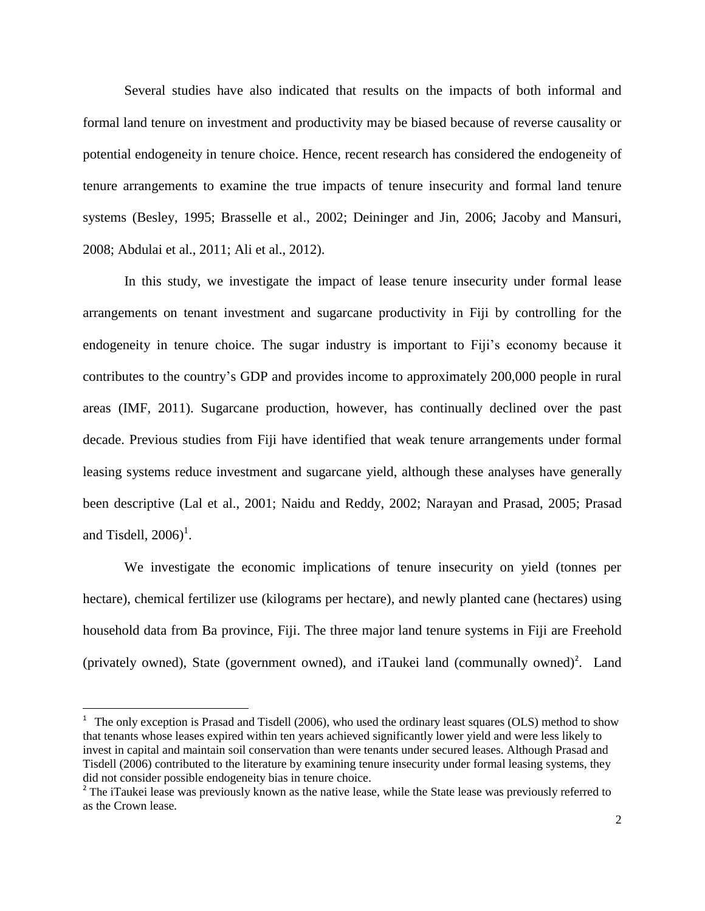Several studies have also indicated that results on the impacts of both informal and formal land tenure on investment and productivity may be biased because of reverse causality or potential endogeneity in tenure choice. Hence, recent research has considered the endogeneity of tenure arrangements to examine the true impacts of tenure insecurity and formal land tenure systems (Besley, 1995; Brasselle et al., 2002; Deininger and Jin, 2006; Jacoby and Mansuri, 2008; Abdulai et al., 2011; Ali et al., 2012).

In this study, we investigate the impact of lease tenure insecurity under formal lease arrangements on tenant investment and sugarcane productivity in Fiji by controlling for the endogeneity in tenure choice. The sugar industry is important to Fiji's economy because it contributes to the country's GDP and provides income to approximately 200,000 people in rural areas (IMF, 2011). Sugarcane production, however, has continually declined over the past decade. Previous studies from Fiji have identified that weak tenure arrangements under formal leasing systems reduce investment and sugarcane yield, although these analyses have generally been descriptive (Lal et al., 2001; Naidu and Reddy, 2002; Narayan and Prasad, 2005; Prasad and Tisdell,  $2006$ <sup>1</sup>.

We investigate the economic implications of tenure insecurity on yield (tonnes per hectare), chemical fertilizer use (kilograms per hectare), and newly planted cane (hectares) using household data from Ba province, Fiji. The three major land tenure systems in Fiji are Freehold (privately owned), State (government owned), and iTaukei land (communally owned)<sup>2</sup>. Land

l

<sup>&</sup>lt;sup>1</sup> The only exception is Prasad and Tisdell (2006), who used the ordinary least squares (OLS) method to show that tenants whose leases expired within ten years achieved significantly lower yield and were less likely to invest in capital and maintain soil conservation than were tenants under secured leases. Although Prasad and Tisdell (2006) contributed to the literature by examining tenure insecurity under formal leasing systems, they did not consider possible endogeneity bias in tenure choice.

<sup>&</sup>lt;sup>2</sup> The iTaukei lease was previously known as the native lease, while the State lease was previously referred to as the Crown lease.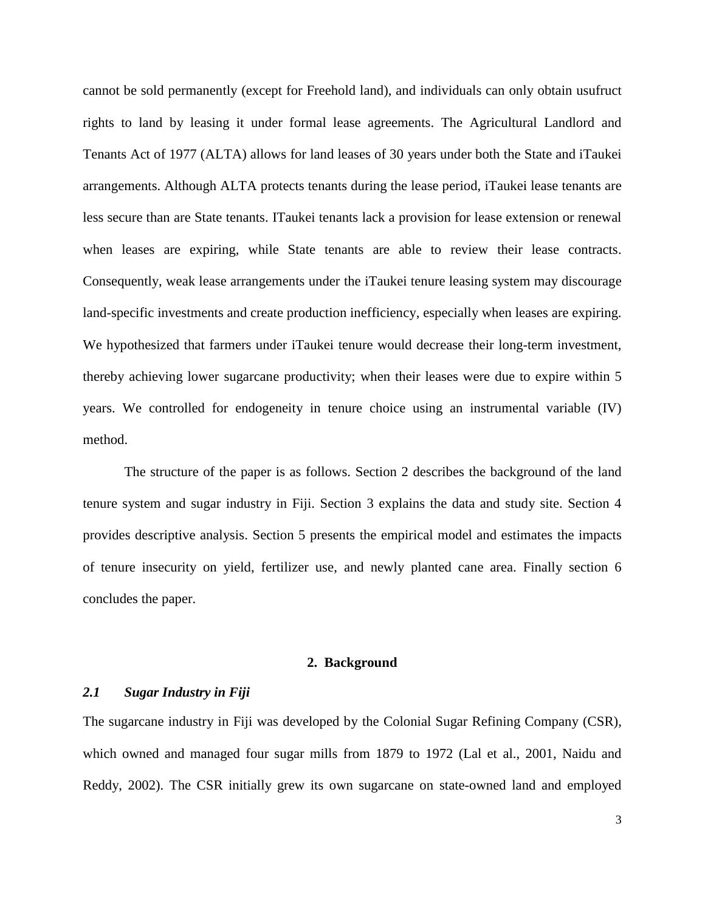cannot be sold permanently (except for Freehold land), and individuals can only obtain usufruct rights to land by leasing it under formal lease agreements. The Agricultural Landlord and Tenants Act of 1977 (ALTA) allows for land leases of 30 years under both the State and iTaukei arrangements. Although ALTA protects tenants during the lease period, iTaukei lease tenants are less secure than are State tenants. ITaukei tenants lack a provision for lease extension or renewal when leases are expiring, while State tenants are able to review their lease contracts. Consequently, weak lease arrangements under the iTaukei tenure leasing system may discourage land-specific investments and create production inefficiency, especially when leases are expiring. We hypothesized that farmers under iTaukei tenure would decrease their long-term investment, thereby achieving lower sugarcane productivity; when their leases were due to expire within 5 years. We controlled for endogeneity in tenure choice using an instrumental variable (IV) method.

The structure of the paper is as follows. Section 2 describes the background of the land tenure system and sugar industry in Fiji. Section 3 explains the data and study site. Section 4 provides descriptive analysis. Section 5 presents the empirical model and estimates the impacts of tenure insecurity on yield, fertilizer use, and newly planted cane area. Finally section 6 concludes the paper.

# **2. Background**

# *2.1 Sugar Industry in Fiji*

The sugarcane industry in Fiji was developed by the Colonial Sugar Refining Company (CSR), which owned and managed four sugar mills from 1879 to 1972 (Lal et al., 2001, Naidu and Reddy, 2002). The CSR initially grew its own sugarcane on state-owned land and employed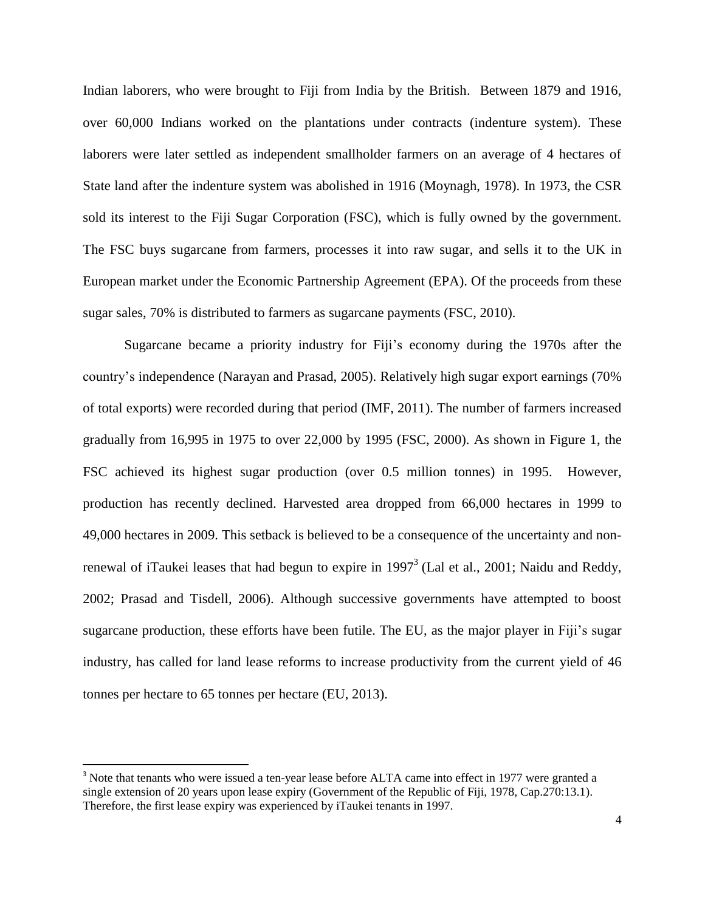Indian laborers, who were brought to Fiji from India by the British. Between 1879 and 1916, over 60,000 Indians worked on the plantations under contracts (indenture system). These laborers were later settled as independent smallholder farmers on an average of 4 hectares of State land after the indenture system was abolished in 1916 (Moynagh, 1978). In 1973, the CSR sold its interest to the Fiji Sugar Corporation (FSC), which is fully owned by the government. The FSC buys sugarcane from farmers, processes it into raw sugar, and sells it to the UK in European market under the Economic Partnership Agreement (EPA). Of the proceeds from these sugar sales, 70% is distributed to farmers as sugarcane payments (FSC, 2010).

Sugarcane became a priority industry for Fiji's economy during the 1970s after the country's independence (Narayan and Prasad, 2005). Relatively high sugar export earnings (70% of total exports) were recorded during that period (IMF, 2011). The number of farmers increased gradually from 16,995 in 1975 to over 22,000 by 1995 (FSC, 2000). As shown in Figure 1, the FSC achieved its highest sugar production (over 0.5 million tonnes) in 1995. However, production has recently declined. Harvested area dropped from 66,000 hectares in 1999 to 49,000 hectares in 2009. This setback is believed to be a consequence of the uncertainty and nonrenewal of iTaukei leases that had begun to expire in  $1997<sup>3</sup>$  (Lal et al., 2001; Naidu and Reddy, 2002; Prasad and Tisdell, 2006). Although successive governments have attempted to boost sugarcane production, these efforts have been futile. The EU, as the major player in Fiji's sugar industry, has called for land lease reforms to increase productivity from the current yield of 46 tonnes per hectare to 65 tonnes per hectare (EU, 2013).

 $\overline{a}$ 

<sup>&</sup>lt;sup>3</sup> Note that tenants who were issued a ten-year lease before ALTA came into effect in 1977 were granted a single extension of 20 years upon lease expiry (Government of the Republic of Fiji, 1978, Cap.270:13.1). Therefore, the first lease expiry was experienced by iTaukei tenants in 1997.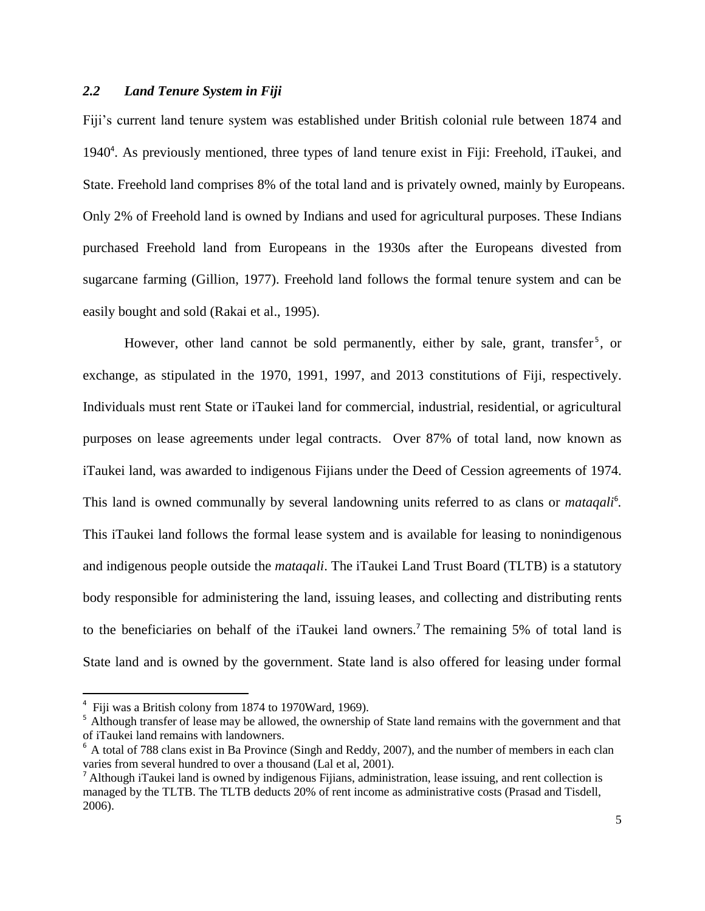# *2.2 Land Tenure System in Fiji*

Fiji's current land tenure system was established under British colonial rule between 1874 and 1940<sup>4</sup>. As previously mentioned, three types of land tenure exist in Fiji: Freehold, iTaukei, and State. Freehold land comprises 8% of the total land and is privately owned, mainly by Europeans. Only 2% of Freehold land is owned by Indians and used for agricultural purposes. These Indians purchased Freehold land from Europeans in the 1930s after the Europeans divested from sugarcane farming (Gillion, 1977). Freehold land follows the formal tenure system and can be easily bought and sold (Rakai et al., 1995).

However, other land cannot be sold permanently, either by sale, grant, transfer<sup>5</sup>, or exchange, as stipulated in the 1970, 1991, 1997, and 2013 constitutions of Fiji, respectively. Individuals must rent State or iTaukei land for commercial, industrial, residential, or agricultural purposes on lease agreements under legal contracts. Over 87% of total land, now known as iTaukei land, was awarded to indigenous Fijians under the Deed of Cession agreements of 1974. This land is owned communally by several landowning units referred to as clans or *mataqali*<sup>6</sup>. This iTaukei land follows the formal lease system and is available for leasing to nonindigenous and indigenous people outside the *mataqali*. The iTaukei Land Trust Board (TLTB) is a statutory body responsible for administering the land, issuing leases, and collecting and distributing rents to the beneficiaries on behalf of the iTaukei land owners. <sup>7</sup> The remaining 5% of total land is State land and is owned by the government. State land is also offered for leasing under formal

 $\overline{\phantom{a}}$ 

<sup>&</sup>lt;sup>4</sup> Fiji was a British colony from 1874 to 1970Ward, 1969).

<sup>&</sup>lt;sup>5</sup> Although transfer of lease may be allowed, the ownership of State land remains with the government and that of iTaukei land remains with landowners.

 $6$  A total of 788 clans exist in Ba Province (Singh and Reddy, 2007), and the number of members in each clan varies from several hundred to over a thousand (Lal et al, 2001).

<sup>&</sup>lt;sup>7</sup> Although iTaukei land is owned by indigenous Fijians, administration, lease issuing, and rent collection is managed by the TLTB. The TLTB deducts 20% of rent income as administrative costs (Prasad and Tisdell, 2006).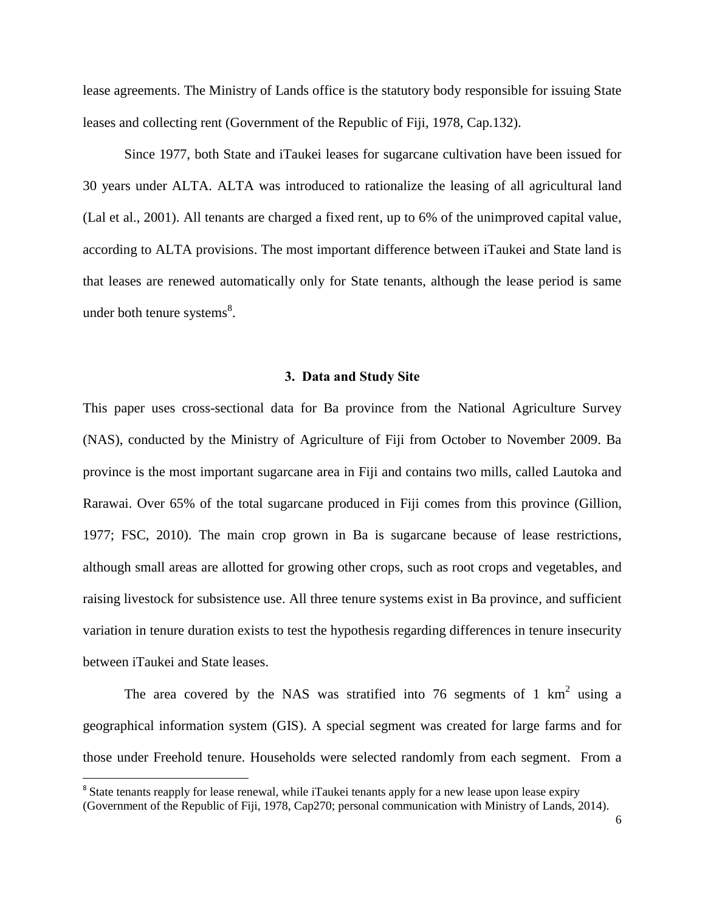lease agreements. The Ministry of Lands office is the statutory body responsible for issuing State leases and collecting rent (Government of the Republic of Fiji, 1978, Cap.132).

Since 1977, both State and iTaukei leases for sugarcane cultivation have been issued for 30 years under ALTA. ALTA was introduced to rationalize the leasing of all agricultural land (Lal et al., 2001). All tenants are charged a fixed rent, up to 6% of the unimproved capital value, according to ALTA provisions. The most important difference between iTaukei and State land is that leases are renewed automatically only for State tenants, although the lease period is same under both tenure systems $^{8}$ .

# **3. Data and Study Site**

This paper uses cross-sectional data for Ba province from the National Agriculture Survey (NAS), conducted by the Ministry of Agriculture of Fiji from October to November 2009. Ba province is the most important sugarcane area in Fiji and contains two mills, called Lautoka and Rarawai. Over 65% of the total sugarcane produced in Fiji comes from this province (Gillion, 1977; FSC, 2010). The main crop grown in Ba is sugarcane because of lease restrictions, although small areas are allotted for growing other crops, such as root crops and vegetables, and raising livestock for subsistence use. All three tenure systems exist in Ba province, and sufficient variation in tenure duration exists to test the hypothesis regarding differences in tenure insecurity between iTaukei and State leases.

The area covered by the NAS was stratified into 76 segments of 1  $\text{km}^2$  using a geographical information system (GIS). A special segment was created for large farms and for those under Freehold tenure. Households were selected randomly from each segment. From a

 $\overline{a}$ 

<sup>&</sup>lt;sup>8</sup> State tenants reapply for lease renewal, while iTaukei tenants apply for a new lease upon lease expiry

<sup>(</sup>Government of the Republic of Fiji, 1978, Cap270; personal communication with Ministry of Lands, 2014).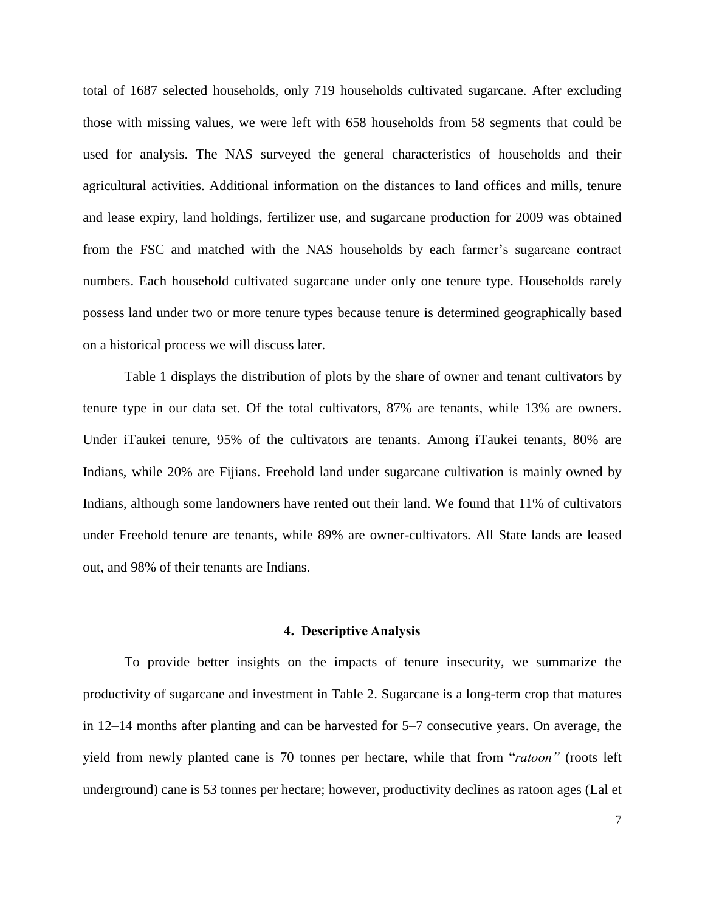total of 1687 selected households, only 719 households cultivated sugarcane. After excluding those with missing values, we were left with 658 households from 58 segments that could be used for analysis. The NAS surveyed the general characteristics of households and their agricultural activities. Additional information on the distances to land offices and mills, tenure and lease expiry, land holdings, fertilizer use, and sugarcane production for 2009 was obtained from the FSC and matched with the NAS households by each farmer's sugarcane contract numbers. Each household cultivated sugarcane under only one tenure type. Households rarely possess land under two or more tenure types because tenure is determined geographically based on a historical process we will discuss later.

Table 1 displays the distribution of plots by the share of owner and tenant cultivators by tenure type in our data set. Of the total cultivators, 87% are tenants, while 13% are owners. Under iTaukei tenure, 95% of the cultivators are tenants. Among iTaukei tenants, 80% are Indians, while 20% are Fijians. Freehold land under sugarcane cultivation is mainly owned by Indians, although some landowners have rented out their land. We found that 11% of cultivators under Freehold tenure are tenants, while 89% are owner-cultivators. All State lands are leased out, and 98% of their tenants are Indians.

#### **4. Descriptive Analysis**

To provide better insights on the impacts of tenure insecurity, we summarize the productivity of sugarcane and investment in Table 2. Sugarcane is a long-term crop that matures in 12–14 months after planting and can be harvested for 5–7 consecutive years. On average, the yield from newly planted cane is 70 tonnes per hectare, while that from "*ratoon"* (roots left underground) cane is 53 tonnes per hectare; however, productivity declines as ratoon ages (Lal et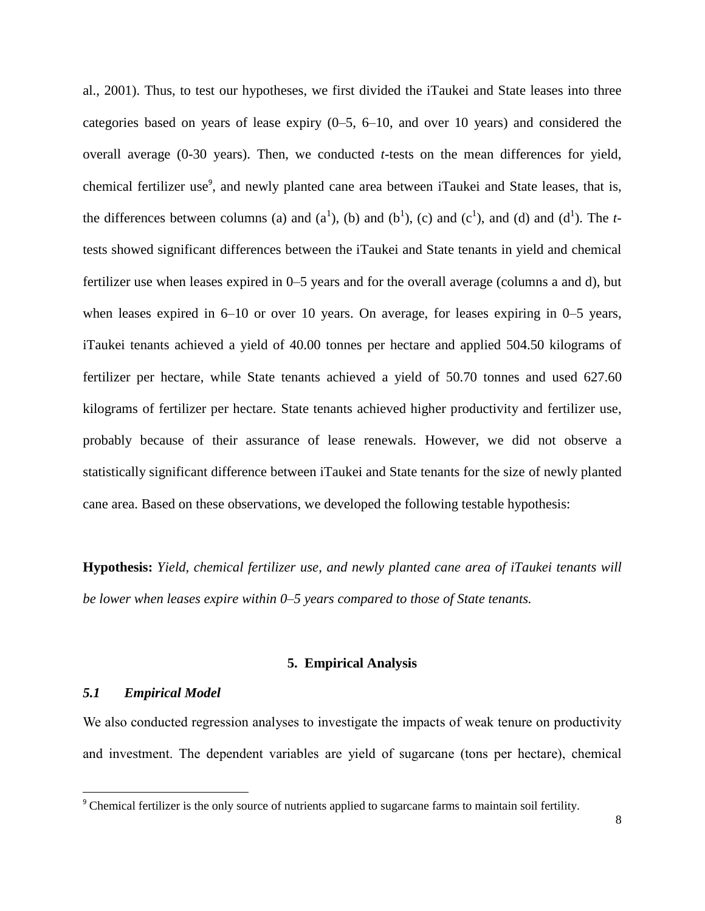al., 2001). Thus, to test our hypotheses, we first divided the iTaukei and State leases into three categories based on years of lease expiry (0–5, 6–10, and over 10 years) and considered the overall average (0-30 years). Then, we conducted *t*-tests on the mean differences for yield, chemical fertilizer use<sup>9</sup>, and newly planted cane area between iTaukei and State leases, that is, the differences between columns (a) and  $(a^1)$ , (b) and  $(b^1)$ , (c) and  $(c^1)$ , and (d) and  $(d^1)$ . The *t*tests showed significant differences between the iTaukei and State tenants in yield and chemical fertilizer use when leases expired in 0–5 years and for the overall average (columns a and d), but when leases expired in 6–10 or over 10 years. On average, for leases expiring in 0–5 years, iTaukei tenants achieved a yield of 40.00 tonnes per hectare and applied 504.50 kilograms of fertilizer per hectare, while State tenants achieved a yield of 50.70 tonnes and used 627.60 kilograms of fertilizer per hectare. State tenants achieved higher productivity and fertilizer use, probably because of their assurance of lease renewals. However, we did not observe a statistically significant difference between iTaukei and State tenants for the size of newly planted cane area. Based on these observations, we developed the following testable hypothesis:

**Hypothesis:** *Yield, chemical fertilizer use, and newly planted cane area of iTaukei tenants will be lower when leases expire within 0–5 years compared to those of State tenants.*

# **5. Empirical Analysis**

# *5.1 Empirical Model*

 $\overline{\phantom{a}}$ 

We also conducted regression analyses to investigate the impacts of weak tenure on productivity and investment. The dependent variables are yield of sugarcane (tons per hectare), chemical

<sup>&</sup>lt;sup>9</sup> Chemical fertilizer is the only source of nutrients applied to sugarcane farms to maintain soil fertility.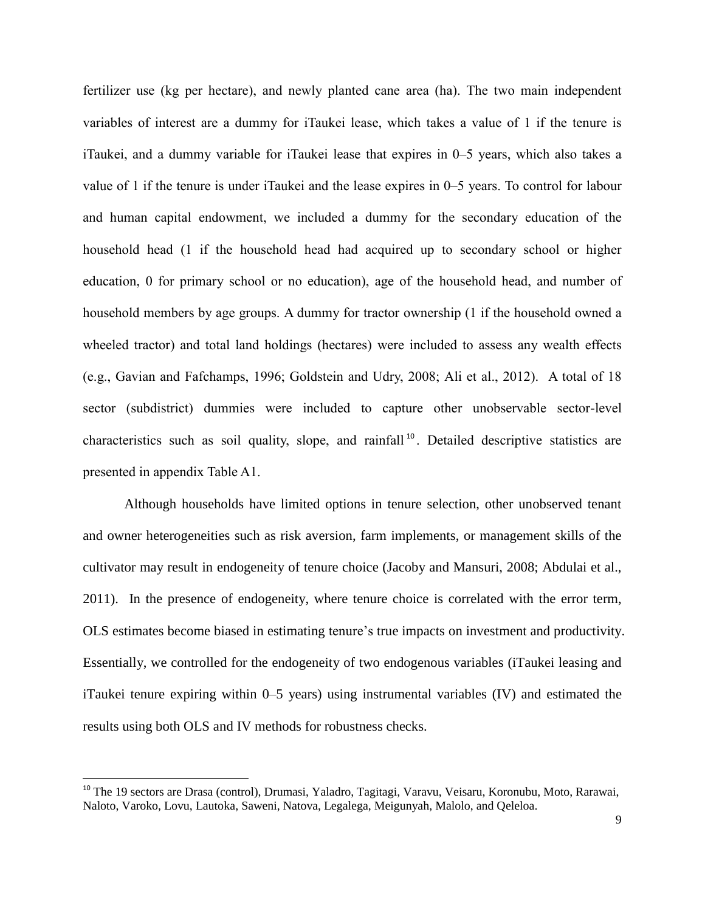fertilizer use (kg per hectare), and newly planted cane area (ha). The two main independent variables of interest are a dummy for iTaukei lease, which takes a value of 1 if the tenure is iTaukei, and a dummy variable for iTaukei lease that expires in 0–5 years, which also takes a value of 1 if the tenure is under iTaukei and the lease expires in 0–5 years. To control for labour and human capital endowment, we included a dummy for the secondary education of the household head (1 if the household head had acquired up to secondary school or higher education, 0 for primary school or no education), age of the household head, and number of household members by age groups. A dummy for tractor ownership (1 if the household owned a wheeled tractor) and total land holdings (hectares) were included to assess any wealth effects (e.g., Gavian and Fafchamps, 1996; Goldstein and Udry, 2008; Ali et al., 2012). A total of 18 sector (subdistrict) dummies were included to capture other unobservable sector-level characteristics such as soil quality, slope, and rainfall<sup>10</sup>. Detailed descriptive statistics are presented in appendix Table A1.

Although households have limited options in tenure selection, other unobserved tenant and owner heterogeneities such as risk aversion, farm implements, or management skills of the cultivator may result in endogeneity of tenure choice (Jacoby and Mansuri, 2008; Abdulai et al., 2011). In the presence of endogeneity, where tenure choice is correlated with the error term, OLS estimates become biased in estimating tenure's true impacts on investment and productivity. Essentially, we controlled for the endogeneity of two endogenous variables (iTaukei leasing and iTaukei tenure expiring within 0–5 years) using instrumental variables (IV) and estimated the results using both OLS and IV methods for robustness checks.

 $\overline{a}$ 

<sup>&</sup>lt;sup>10</sup> The 19 sectors are Drasa (control), Drumasi, Yaladro, Tagitagi, Varavu, Veisaru, Koronubu, Moto, Rarawai, Naloto, Varoko, Lovu, Lautoka, Saweni, Natova, Legalega, Meigunyah, Malolo, and Qeleloa.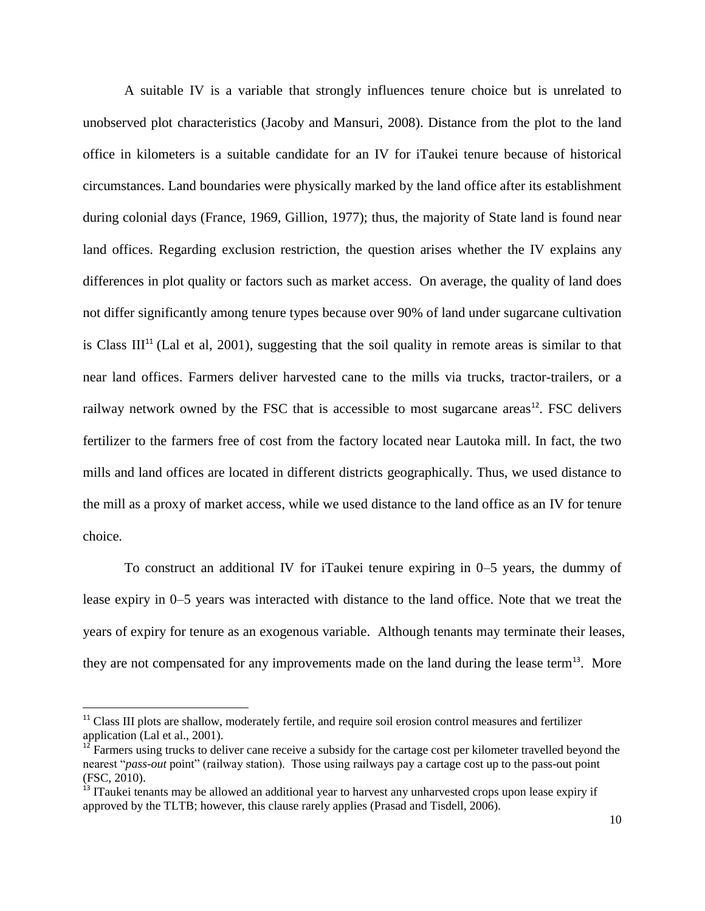A suitable IV is a variable that strongly influences tenure choice but is unrelated to unobserved plot characteristics (Jacoby and Mansuri, 2008). Distance from the plot to the land office in kilometers is a suitable candidate for an IV for iTaukei tenure because of historical circumstances. Land boundaries were physically marked by the land office after its establishment during colonial days (France, 1969, Gillion, 1977); thus, the majority of State land is found near land offices. Regarding exclusion restriction, the question arises whether the IV explains any differences in plot quality or factors such as market access. On average, the quality of land does not differ significantly among tenure types because over 90% of land under sugarcane cultivation is Class III<sup>11</sup> (Lal et al, 2001), suggesting that the soil quality in remote areas is similar to that near land offices. Farmers deliver harvested cane to the mills via trucks, tractor-trailers, or a railway network owned by the FSC that is accessible to most sugarcane areas $^{12}$ . FSC delivers fertilizer to the farmers free of cost from the factory located near Lautoka mill. In fact, the two mills and land offices are located in different districts geographically. Thus, we used distance to the mill as a proxy of market access, while we used distance to the land office as an IV for tenure choice.

To construct an additional IV for iTaukei tenure expiring in 0–5 years, the dummy of lease expiry in 0–5 years was interacted with distance to the land office. Note that we treat the years of expiry for tenure as an exogenous variable. Although tenants may terminate their leases, they are not compensated for any improvements made on the land during the lease term<sup>13</sup>. More

 $\overline{\phantom{a}}$ 

<sup>&</sup>lt;sup>11</sup> Class III plots are shallow, moderately fertile, and require soil erosion control measures and fertilizer application (Lal et al., 2001).

 $12$  Farmers using trucks to deliver cane receive a subsidy for the cartage cost per kilometer travelled beyond the nearest "*pass-out* point" (railway station). Those using railways pay a cartage cost up to the pass-out point (FSC, 2010).

<sup>&</sup>lt;sup>13</sup> ITaukei tenants may be allowed an additional year to harvest any unharvested crops upon lease expiry if approved by the TLTB; however, this clause rarely applies (Prasad and Tisdell, 2006).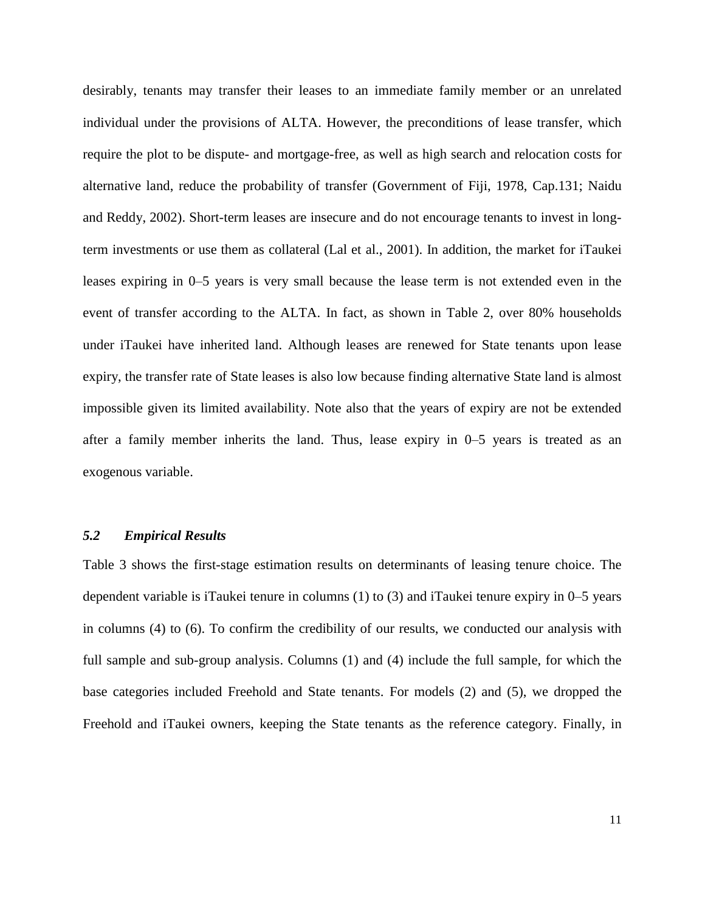desirably, tenants may transfer their leases to an immediate family member or an unrelated individual under the provisions of ALTA. However, the preconditions of lease transfer, which require the plot to be dispute- and mortgage-free, as well as high search and relocation costs for alternative land, reduce the probability of transfer (Government of Fiji, 1978, Cap.131; Naidu and Reddy, 2002). Short-term leases are insecure and do not encourage tenants to invest in longterm investments or use them as collateral (Lal et al., 2001). In addition, the market for iTaukei leases expiring in 0–5 years is very small because the lease term is not extended even in the event of transfer according to the ALTA. In fact, as shown in Table 2, over 80% households under iTaukei have inherited land. Although leases are renewed for State tenants upon lease expiry, the transfer rate of State leases is also low because finding alternative State land is almost impossible given its limited availability. Note also that the years of expiry are not be extended after a family member inherits the land. Thus, lease expiry in 0–5 years is treated as an exogenous variable.

# *5.2 Empirical Results*

Table 3 shows the first-stage estimation results on determinants of leasing tenure choice. The dependent variable is iTaukei tenure in columns (1) to (3) and iTaukei tenure expiry in 0–5 years in columns (4) to (6). To confirm the credibility of our results, we conducted our analysis with full sample and sub-group analysis. Columns (1) and (4) include the full sample, for which the base categories included Freehold and State tenants. For models (2) and (5), we dropped the Freehold and iTaukei owners, keeping the State tenants as the reference category. Finally, in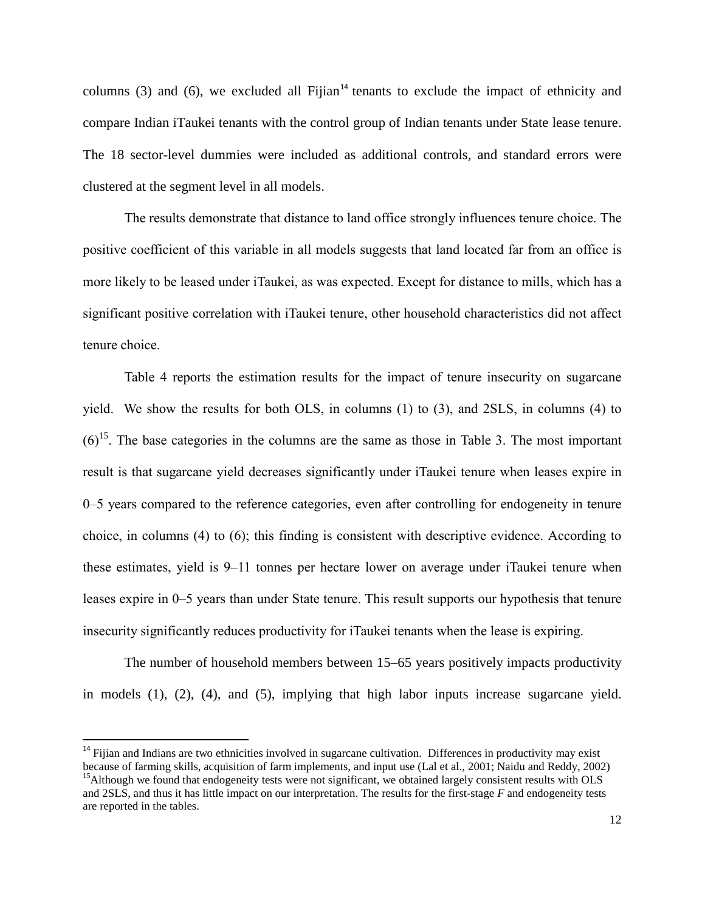columns  $(3)$  and  $(6)$ , we excluded all Fijian<sup>14</sup> tenants to exclude the impact of ethnicity and compare Indian iTaukei tenants with the control group of Indian tenants under State lease tenure. The 18 sector-level dummies were included as additional controls, and standard errors were clustered at the segment level in all models.

The results demonstrate that distance to land office strongly influences tenure choice. The positive coefficient of this variable in all models suggests that land located far from an office is more likely to be leased under iTaukei, as was expected. Except for distance to mills, which has a significant positive correlation with iTaukei tenure, other household characteristics did not affect tenure choice.

Table 4 reports the estimation results for the impact of tenure insecurity on sugarcane yield. We show the results for both OLS, in columns (1) to (3), and 2SLS, in columns (4) to  $(6)^{15}$ . The base categories in the columns are the same as those in Table 3. The most important result is that sugarcane yield decreases significantly under iTaukei tenure when leases expire in 0–5 years compared to the reference categories, even after controlling for endogeneity in tenure choice, in columns (4) to (6); this finding is consistent with descriptive evidence. According to these estimates, yield is 9–11 tonnes per hectare lower on average under iTaukei tenure when leases expire in 0–5 years than under State tenure. This result supports our hypothesis that tenure insecurity significantly reduces productivity for iTaukei tenants when the lease is expiring.

The number of household members between 15–65 years positively impacts productivity in models (1), (2), (4), and (5), implying that high labor inputs increase sugarcane yield.

 $\overline{\phantom{a}}$ 

 $14$  Fijian and Indians are two ethnicities involved in sugarcane cultivation. Differences in productivity may exist because of farming skills, acquisition of farm implements, and input use (Lal et al., 2001; Naidu and Reddy, 2002)  $<sup>15</sup>$ Although we found that endogeneity tests were not significant, we obtained largely consistent results with OLS</sup>

and 2SLS, and thus it has little impact on our interpretation. The results for the first-stage *F* and endogeneity tests are reported in the tables.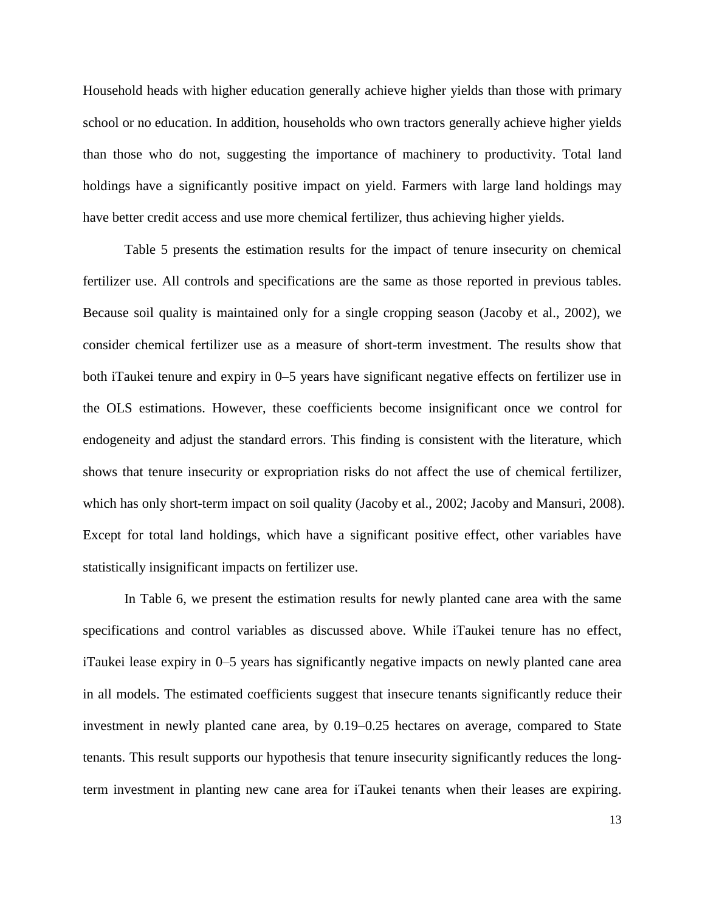Household heads with higher education generally achieve higher yields than those with primary school or no education. In addition, households who own tractors generally achieve higher yields than those who do not, suggesting the importance of machinery to productivity. Total land holdings have a significantly positive impact on yield. Farmers with large land holdings may have better credit access and use more chemical fertilizer, thus achieving higher yields.

Table 5 presents the estimation results for the impact of tenure insecurity on chemical fertilizer use. All controls and specifications are the same as those reported in previous tables. Because soil quality is maintained only for a single cropping season (Jacoby et al., 2002), we consider chemical fertilizer use as a measure of short-term investment. The results show that both iTaukei tenure and expiry in 0–5 years have significant negative effects on fertilizer use in the OLS estimations. However, these coefficients become insignificant once we control for endogeneity and adjust the standard errors. This finding is consistent with the literature, which shows that tenure insecurity or expropriation risks do not affect the use of chemical fertilizer, which has only short-term impact on soil quality (Jacoby et al., 2002; Jacoby and Mansuri, 2008). Except for total land holdings, which have a significant positive effect, other variables have statistically insignificant impacts on fertilizer use.

In Table 6, we present the estimation results for newly planted cane area with the same specifications and control variables as discussed above. While iTaukei tenure has no effect, iTaukei lease expiry in 0–5 years has significantly negative impacts on newly planted cane area in all models. The estimated coefficients suggest that insecure tenants significantly reduce their investment in newly planted cane area, by 0.19–0.25 hectares on average, compared to State tenants. This result supports our hypothesis that tenure insecurity significantly reduces the longterm investment in planting new cane area for iTaukei tenants when their leases are expiring.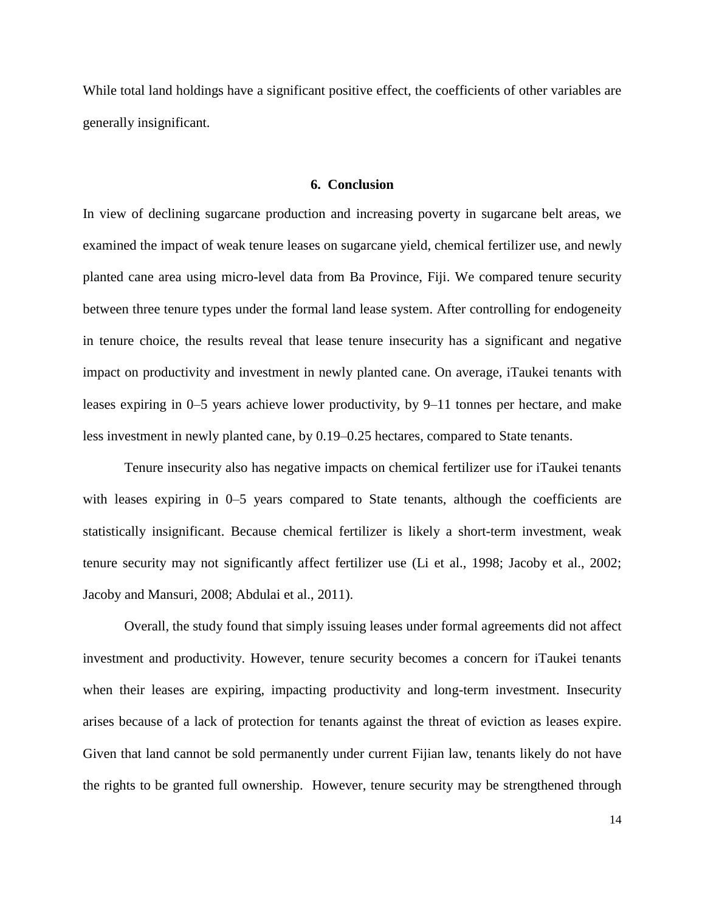While total land holdings have a significant positive effect, the coefficients of other variables are generally insignificant.

# **6. Conclusion**

In view of declining sugarcane production and increasing poverty in sugarcane belt areas, we examined the impact of weak tenure leases on sugarcane yield, chemical fertilizer use, and newly planted cane area using micro-level data from Ba Province, Fiji. We compared tenure security between three tenure types under the formal land lease system. After controlling for endogeneity in tenure choice, the results reveal that lease tenure insecurity has a significant and negative impact on productivity and investment in newly planted cane. On average, iTaukei tenants with leases expiring in 0–5 years achieve lower productivity, by 9–11 tonnes per hectare, and make less investment in newly planted cane, by 0.19–0.25 hectares, compared to State tenants.

Tenure insecurity also has negative impacts on chemical fertilizer use for iTaukei tenants with leases expiring in 0–5 years compared to State tenants, although the coefficients are statistically insignificant. Because chemical fertilizer is likely a short-term investment, weak tenure security may not significantly affect fertilizer use (Li et al., 1998; Jacoby et al., 2002; Jacoby and Mansuri, 2008; Abdulai et al., 2011).

Overall, the study found that simply issuing leases under formal agreements did not affect investment and productivity. However, tenure security becomes a concern for iTaukei tenants when their leases are expiring, impacting productivity and long-term investment. Insecurity arises because of a lack of protection for tenants against the threat of eviction as leases expire. Given that land cannot be sold permanently under current Fijian law, tenants likely do not have the rights to be granted full ownership. However, tenure security may be strengthened through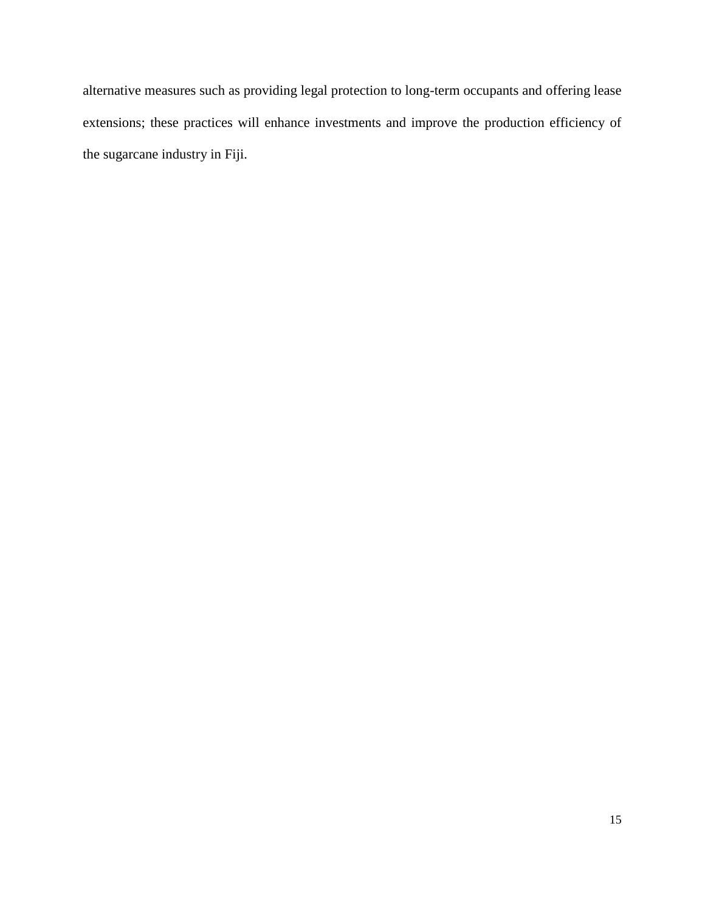alternative measures such as providing legal protection to long-term occupants and offering lease extensions; these practices will enhance investments and improve the production efficiency of the sugarcane industry in Fiji.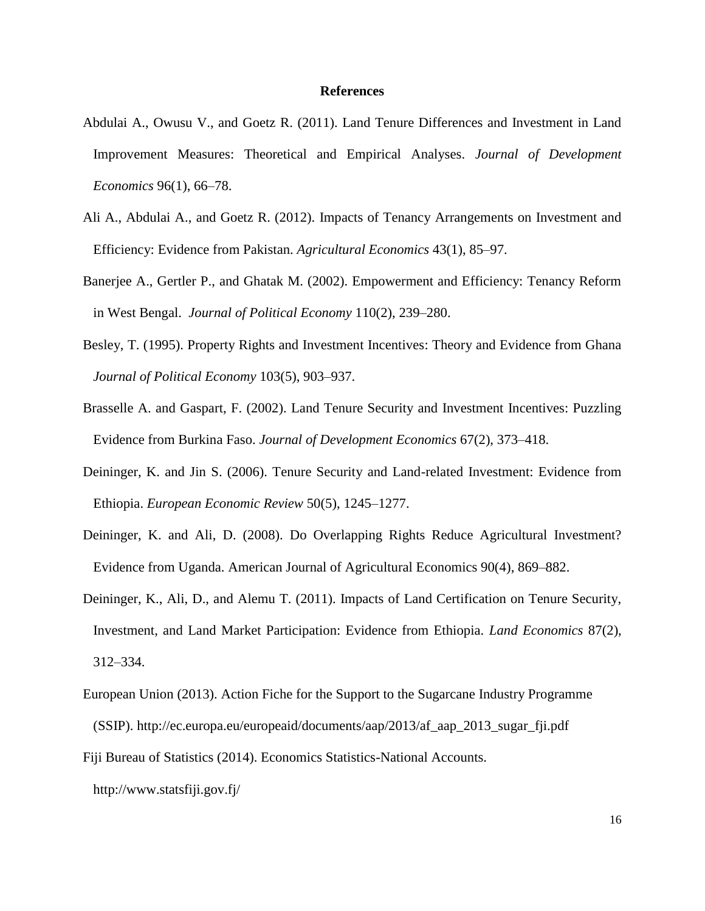## **References**

- Abdulai A., Owusu V., and Goetz R. (2011). Land Tenure Differences and Investment in Land Improvement Measures: Theoretical and Empirical Analyses. *Journal of Development Economics* 96(1), 66–78.
- Ali A., Abdulai A., and Goetz R. (2012). Impacts of Tenancy Arrangements on Investment and Efficiency: Evidence from Pakistan. *Agricultural Economics* 43(1), 85–97.
- Banerjee A., Gertler P., and Ghatak M. (2002). Empowerment and Efficiency: Tenancy Reform in West Bengal. *Journal of Political Economy* 110(2), 239–280.
- Besley, T. (1995). Property Rights and Investment Incentives: Theory and Evidence from Ghana *Journal of Political Economy* 103(5), 903–937.
- Brasselle A. and Gaspart, F. (2002). Land Tenure Security and Investment Incentives: Puzzling Evidence from Burkina Faso. *Journal of Development Economics* 67(2), 373–418.
- Deininger, K. and Jin S. (2006). Tenure Security and Land-related Investment: Evidence from Ethiopia. *European Economic Review* 50(5), 1245–1277.
- Deininger, K. and Ali, D. (2008). Do Overlapping Rights Reduce Agricultural Investment? Evidence from Uganda. American Journal of Agricultural Economics 90(4), 869–882.
- Deininger, K., Ali, D., and Alemu T. (2011). Impacts of Land Certification on Tenure Security, Investment, and Land Market Participation: Evidence from Ethiopia. *Land Economics* 87(2), 312–334.
- European Union (2013). Action Fiche for the Support to the Sugarcane Industry Programme (SSIP). [http://ec.europa.eu/europeaid/documents/aap/2013/af\\_aap\\_2013\\_sugar\\_fji.pdf](http://ec.europa.eu/europeaid/documents/aap/2013/af_aap_2013_sugar_fji.pdf)
- Fiji Bureau of Statistics (2014). Economics Statistics-National Accounts.

<http://www.statsfiji.gov.fj/>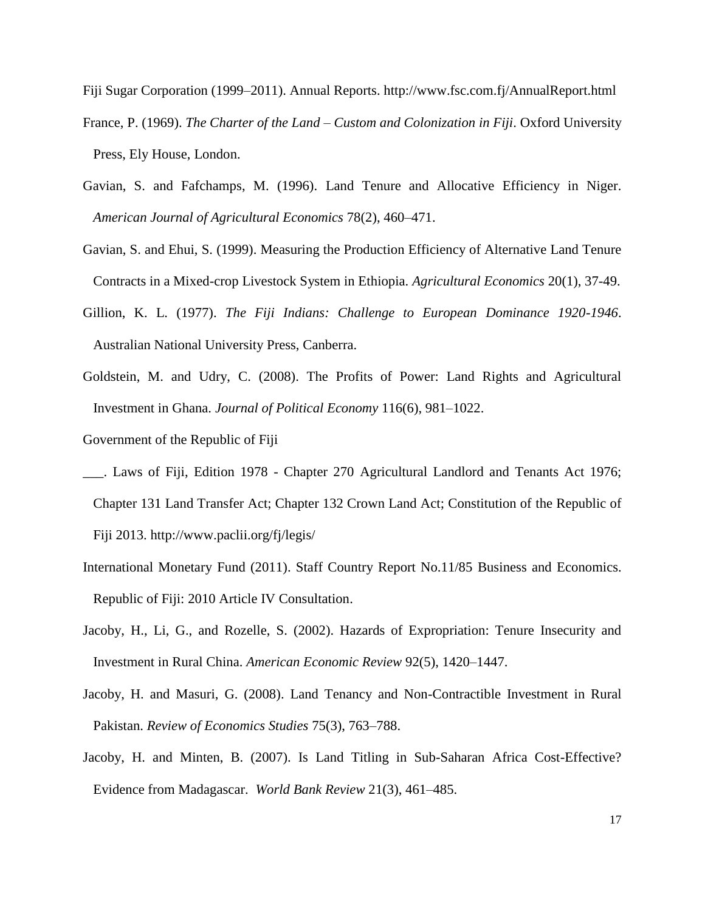Fiji Sugar Corporation (1999–2011). Annual Reports.<http://www.fsc.com.fj/AnnualReport.html> France, P. (1969). *The Charter of the Land – Custom and Colonization in Fiji*. Oxford University Press, Ely House, London.

- Gavian, S. and Fafchamps, M. (1996). Land Tenure and Allocative Efficiency in Niger. *American Journal of Agricultural Economics* 78(2), 460–471.
- Gavian, S. and Ehui, S. (1999). Measuring the Production Efficiency of Alternative Land Tenure Contracts in a Mixed-crop Livestock System in Ethiopia. *Agricultural Economics* 20(1), 37-49.
- Gillion, K. L. (1977). *The Fiji Indians: Challenge to European Dominance 1920-1946*. Australian National University Press, Canberra.
- Goldstein, M. and Udry, C. (2008). The Profits of Power: Land Rights and Agricultural Investment in Ghana. *Journal of Political Economy* 116(6), 981–1022.
- Government of the Republic of Fiji
- \_\_\_. Laws of Fiji, Edition 1978 Chapter 270 Agricultural Landlord and Tenants Act 1976; Chapter 131 Land Transfer Act; Chapter 132 Crown Land Act; Constitution of the Republic of Fiji 2013. http://www.paclii.org/fj/legis/
- International Monetary Fund (2011). Staff Country Report No.11/85 Business and Economics. Republic of Fiji: 2010 Article IV Consultation.
- Jacoby, H., Li, G., and Rozelle, S. (2002). Hazards of Expropriation: Tenure Insecurity and Investment in Rural China. *American Economic Review* 92(5), 1420–1447.
- Jacoby, H. and Masuri, G. (2008). Land Tenancy and Non-Contractible Investment in Rural Pakistan. *Review of Economics Studies* 75(3), 763–788.
- Jacoby, H. and Minten, B. (2007). Is Land Titling in Sub-Saharan Africa Cost-Effective? Evidence from Madagascar. *World Bank Review* 21(3), 461–485.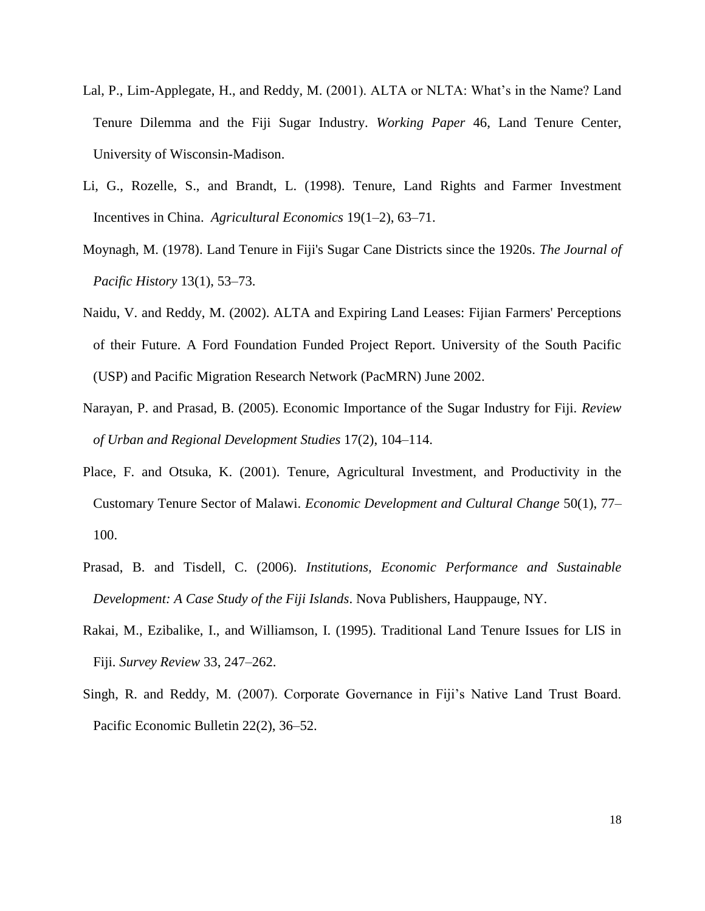- Lal, P., Lim-Applegate, H., and Reddy, M. (2001). ALTA or NLTA: What's in the Name? Land Tenure Dilemma and the Fiji Sugar Industry. *Working Paper* 46, Land Tenure Center, University of Wisconsin-Madison.
- Li, G., Rozelle, S., and Brandt, L. (1998). Tenure, Land Rights and Farmer Investment Incentives in China. *Agricultural Economics* 19(1–2), 63–71.
- Moynagh, M. (1978). Land Tenure in Fiji's Sugar Cane Districts since the 1920s. *The Journal of Pacific History* 13(1), 53–73.
- Naidu, V. and Reddy, M. (2002). ALTA and Expiring Land Leases: Fijian Farmers' Perceptions of their Future. A Ford Foundation Funded Project Report. University of the South Pacific (USP) and Pacific Migration Research Network (PacMRN) June 2002.
- Narayan, P. and Prasad, B. (2005). Economic Importance of the Sugar Industry for Fiji. *Review of Urban and Regional Development Studies* 17(2), 104–114.
- Place, F. and Otsuka, K. (2001). Tenure, Agricultural Investment, and Productivity in the Customary Tenure Sector of Malawi. *Economic Development and Cultural Change* 50(1), 77– 100.
- Prasad, B. and Tisdell, C. (2006). *Institutions, Economic Performance and Sustainable Development: A Case Study of the Fiji Islands*. Nova Publishers, Hauppauge, NY.
- Rakai, M., Ezibalike, I., and Williamson, I. (1995). Traditional Land Tenure Issues for LIS in Fiji. *Survey Review* 33, 247–262.
- Singh, R. and Reddy, M. (2007). Corporate Governance in Fiji's Native Land Trust Board. Pacific Economic Bulletin 22(2), 36–52.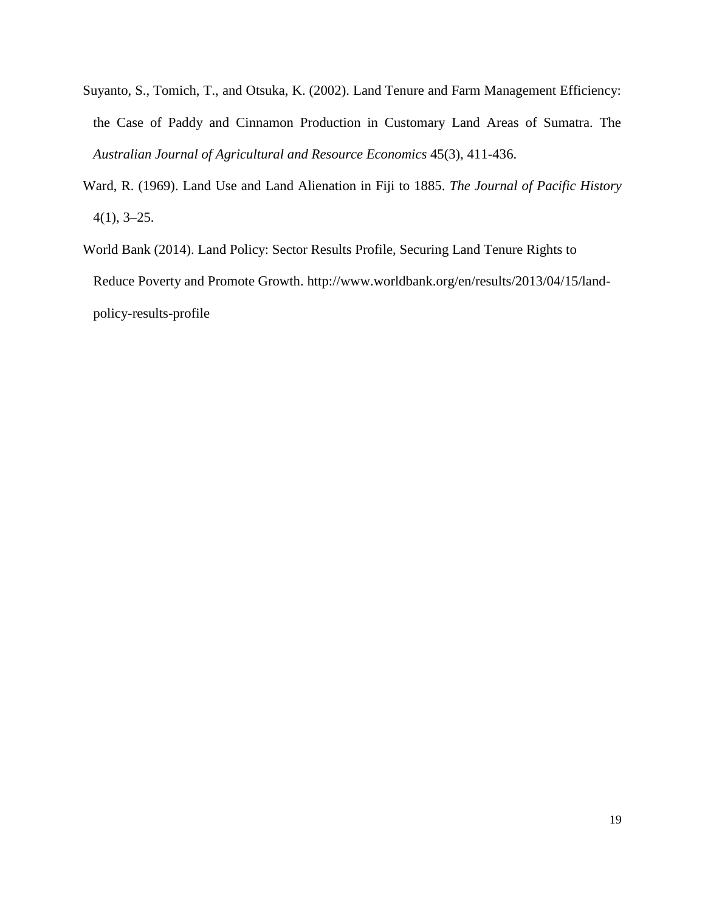- Suyanto, S., Tomich, T., and Otsuka, K. (2002). Land Tenure and Farm Management Efficiency: the Case of Paddy and Cinnamon Production in Customary Land Areas of Sumatra. The *Australian Journal of Agricultural and Resource Economics* 45(3), 411-436.
- Ward, R. (1969). Land Use and Land Alienation in Fiji to 1885. *The Journal of Pacific History* 4(1), 3–25.
- World Bank (2014). Land Policy: Sector Results Profile, Securing Land Tenure Rights to Reduce Poverty and Promote Growth. [http://www.worldbank.org/en/results/2013/04/15/land](http://www.worldbank.org/en/results/2013/04/15/land-policy-results-profile)[policy-results-profile](http://www.worldbank.org/en/results/2013/04/15/land-policy-results-profile)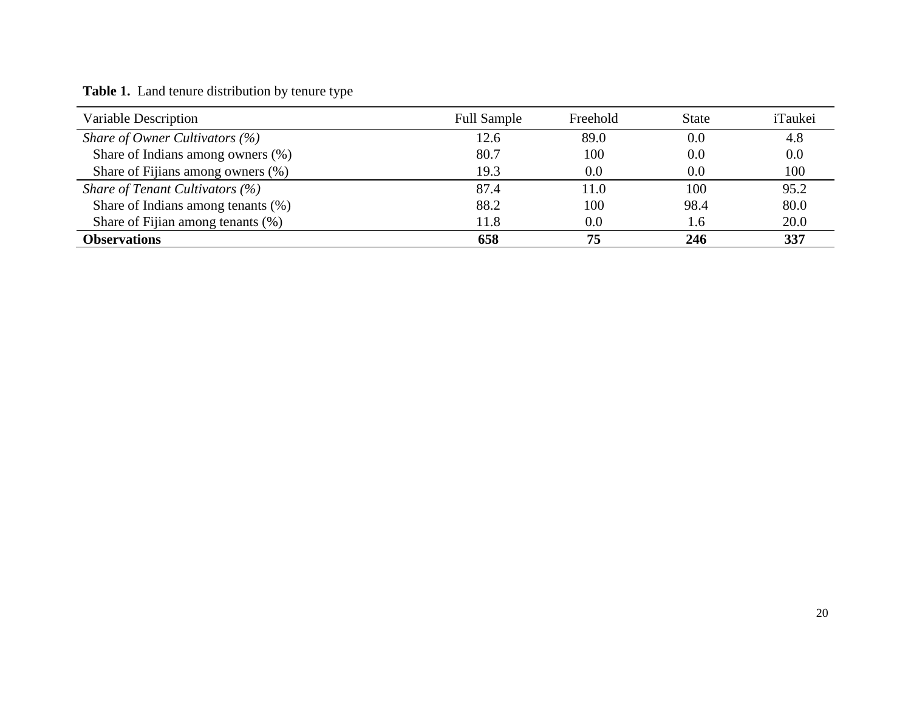| Variable Description                     | <b>Full Sample</b> | Freehold | <b>State</b> | iTaukei |
|------------------------------------------|--------------------|----------|--------------|---------|
| <i>Share of Owner Cultivators</i> $(\%)$ | 12.6               | 89.0     | 0.0          | 4.8     |
| Share of Indians among owners (%)        | 80.7               | 100      | 0.0          | 0.0     |
| Share of Fijians among owners (%)        | 19.3               | 0.0      | $0.0\,$      | 100     |
| Share of Tenant Cultivators $(\%)$       | 87.4               | 11.0     | 100          | 95.2    |
| Share of Indians among tenants (%)       | 88.2               | 100      | 98.4         | 80.0    |
| Share of Fijian among tenants (%)        | 11.8               | 0.0      | 1.6          | 20.0    |
| <b>Observations</b>                      | 658                | 75       | 246          | 337     |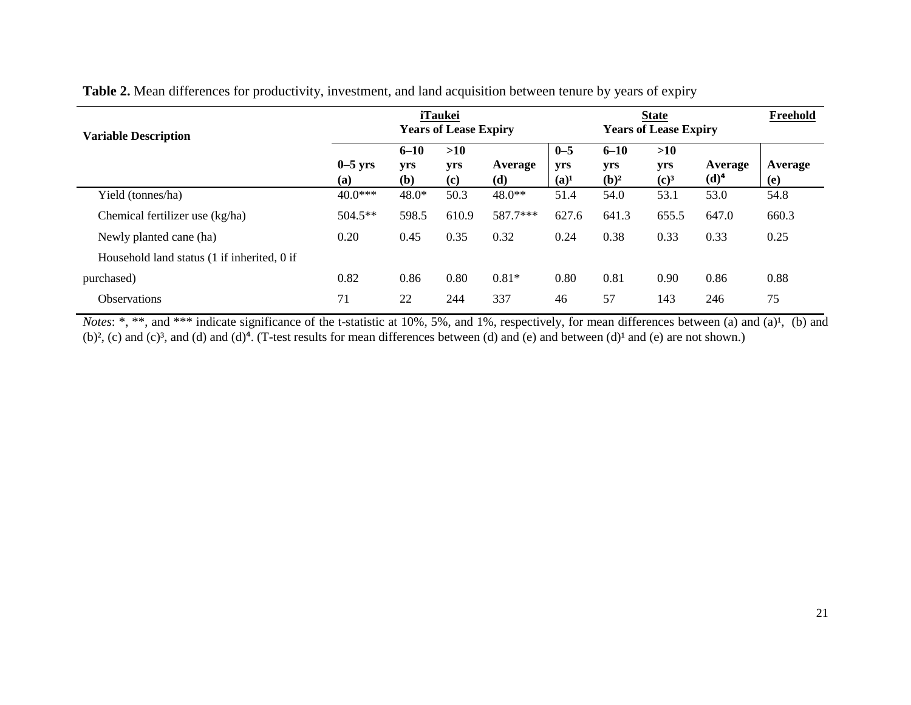| <b>Variable Description</b>                 | <b>iTaukei</b><br><b>Years of Lease Expiry</b> |                        |                   | <b>State</b><br><b>Years of Lease Expiry</b> |                           |                            |                                | Freehold           |                |
|---------------------------------------------|------------------------------------------------|------------------------|-------------------|----------------------------------------------|---------------------------|----------------------------|--------------------------------|--------------------|----------------|
|                                             | $0-5$ yrs<br>(a)                               | $6 - 10$<br>yrs<br>(b) | >10<br>yrs<br>(c) | Average<br>(d)                               | $0 - 5$<br>yrs<br>$(a)^1$ | $6 - 10$<br>yrs<br>$(b)^2$ | >10<br>yrs<br>(c) <sup>3</sup> | Average<br>$(d)^4$ | Average<br>(e) |
| Yield (tonnes/ha)                           | $40.0***$                                      | 48.0*                  | 50.3              | 48.0**                                       | 51.4                      | 54.0                       | 53.1                           | 53.0               | 54.8           |
| Chemical fertilizer use (kg/ha)             | $504.5**$                                      | 598.5                  | 610.9             | 587.7***                                     | 627.6                     | 641.3                      | 655.5                          | 647.0              | 660.3          |
| Newly planted cane (ha)                     | 0.20                                           | 0.45                   | 0.35              | 0.32                                         | 0.24                      | 0.38                       | 0.33                           | 0.33               | 0.25           |
| Household land status (1 if inherited, 0 if |                                                |                        |                   |                                              |                           |                            |                                |                    |                |
| purchased)                                  | 0.82                                           | 0.86                   | 0.80              | $0.81*$                                      | 0.80                      | 0.81                       | 0.90                           | 0.86               | 0.88           |
| <b>Observations</b>                         | 71                                             | 22                     | 244               | 337                                          | 46                        | 57                         | 143                            | 246                | 75             |

**Table 2.** Mean differences for productivity, investment, and land acquisition between tenure by years of expiry

*Notes*: \*, \*\*, and \*\*\* indicate significance of the t-statistic at 10%, 5%, and 1%, respectively, for mean differences between (a) and (a)<sup>1</sup>, (b) and (b)<sup>2</sup>, (c) and (c)<sup>3</sup>, and (d) and (d)<sup>4</sup>. (T-test results for mean differences between (d) and (e) and between (d)<sup>1</sup> and (e) are not shown.)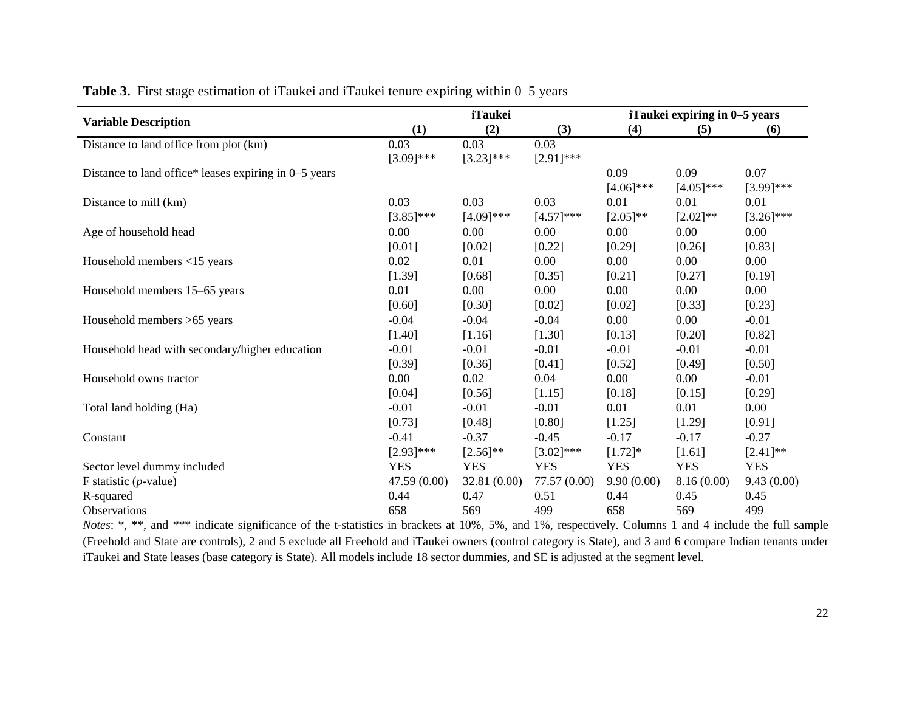|                                                       |              | <b>iTaukei</b> |              | iTaukei expiring in 0-5 years |              |              |  |
|-------------------------------------------------------|--------------|----------------|--------------|-------------------------------|--------------|--------------|--|
| <b>Variable Description</b>                           | (1)          | (2)            | (3)          | (4)                           | (5)          | (6)          |  |
| Distance to land office from plot (km)                | 0.03         | 0.03           | 0.03         |                               |              |              |  |
|                                                       | $[3.09]$ *** | $[3.23]$ ***   | $[2.91]$ *** |                               |              |              |  |
| Distance to land office* leases expiring in 0–5 years |              |                |              | 0.09                          | 0.09         | 0.07         |  |
|                                                       |              |                |              | $[4.06]$ ***                  | $[4.05]$ *** | $[3.99]$ *** |  |
| Distance to mill (km)                                 | 0.03         | 0.03           | 0.03         | 0.01                          | 0.01         | 0.01         |  |
|                                                       | $[3.85]$ *** | $[4.09]$ ***   | $[4.57]$ *** | $[2.05]$ **                   | $[2.02]$ **  | $[3.26]$ *** |  |
| Age of household head                                 | 0.00         | 0.00           | 0.00         | 0.00                          | 0.00         | 0.00         |  |
|                                                       | [0.01]       | $[0.02]$       | [0.22]       | [0.29]                        | [0.26]       | [0.83]       |  |
| Household members <15 years                           | 0.02         | 0.01           | 0.00         | 0.00                          | 0.00         | 0.00         |  |
|                                                       | [1.39]       | [0.68]         | [0.35]       | [0.21]                        | [0.27]       | [0.19]       |  |
| Household members 15–65 years                         | 0.01         | 0.00           | 0.00         | 0.00                          | 0.00         | 0.00         |  |
|                                                       | [0.60]       | [0.30]         | [0.02]       | [0.02]                        | [0.33]       | [0.23]       |  |
| Household members >65 years                           | $-0.04$      | $-0.04$        | $-0.04$      | 0.00                          | 0.00         | $-0.01$      |  |
|                                                       | [1.40]       | [1.16]         | [1.30]       | [0.13]                        | [0.20]       | [0.82]       |  |
| Household head with secondary/higher education        | $-0.01$      | $-0.01$        | $-0.01$      | $-0.01$                       | $-0.01$      | $-0.01$      |  |
|                                                       | [0.39]       | [0.36]         | [0.41]       | [0.52]                        | [0.49]       | [0.50]       |  |
| Household owns tractor                                | 0.00         | 0.02           | 0.04         | 0.00                          | 0.00         | $-0.01$      |  |
|                                                       | [0.04]       | [0.56]         | [1.15]       | [0.18]                        | [0.15]       | [0.29]       |  |
| Total land holding (Ha)                               | $-0.01$      | $-0.01$        | $-0.01$      | 0.01                          | 0.01         | $0.00\,$     |  |
|                                                       | [0.73]       | [0.48]         | [0.80]       | [1.25]                        | [1.29]       | [0.91]       |  |
| Constant                                              | $-0.41$      | $-0.37$        | $-0.45$      | $-0.17$                       | $-0.17$      | $-0.27$      |  |
|                                                       | $[2.93]$ *** | $[2.56]^{**}$  | $[3.02]$ *** | $[1.72]$ *                    | [1.61]       | $[2.41]$ **  |  |
| Sector level dummy included                           | <b>YES</b>   | <b>YES</b>     | <b>YES</b>   | <b>YES</b>                    | <b>YES</b>   | <b>YES</b>   |  |
| F statistic $(p$ -value)                              | 47.59 (0.00) | 32.81 (0.00)   | 77.57 (0.00) | 9.90(0.00)                    | 8.16(0.00)   | 9.43(0.00)   |  |
| R-squared                                             | 0.44         | 0.47           | 0.51         | 0.44                          | 0.45         | 0.45         |  |
| Observations                                          | 658          | 569            | 499          | 658                           | 569          | 499          |  |

**Table 3.** First stage estimation of iTaukei and iTaukei tenure expiring within 0–5 years

*Notes*: \*, \*\*, and \*\*\* indicate significance of the t-statistics in brackets at 10%, 5%, and 1%, respectively. Columns 1 and 4 include the full sample (Freehold and State are controls), 2 and 5 exclude all Freehold and iTaukei owners (control category is State), and 3 and 6 compare Indian tenants under iTaukei and State leases (base category is State). All models include 18 sector dummies, and SE is adjusted at the segment level.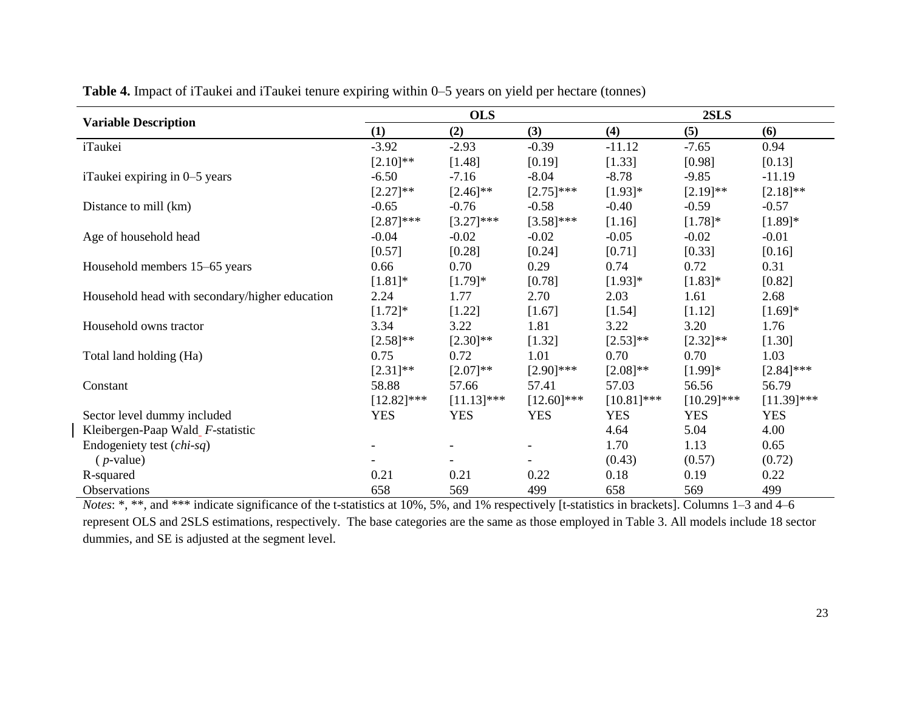|                                                |               | <b>OLS</b>    |               | 2SLS          |               |               |  |
|------------------------------------------------|---------------|---------------|---------------|---------------|---------------|---------------|--|
| <b>Variable Description</b>                    | (1)           | (2)           | (3)           | (4)           | (5)           | (6)           |  |
| iTaukei                                        | $-3.92$       | $-2.93$       | $-0.39$       | $-11.12$      | $-7.65$       | 0.94          |  |
|                                                | $[2.10]$ **   | [1.48]        | [0.19]        | [1.33]        | [0.98]        | [0.13]        |  |
| iTaukei expiring in 0–5 years                  | $-6.50$       | $-7.16$       | $-8.04$       | $-8.78$       | $-9.85$       | $-11.19$      |  |
|                                                | $[2.27]$ **   | $[2.46]$ **   | $[2.75]$ ***  | $[1.93]$ *    | $[2.19]$ **   | $[2.18]$ **   |  |
| Distance to mill (km)                          | $-0.65$       | $-0.76$       | $-0.58$       | $-0.40$       | $-0.59$       | $-0.57$       |  |
|                                                | $[2.87]$ ***  | $[3.27]$ ***  | $[3.58]$ ***  | $[1.16]$      | $[1.78]$ *    | $[1.89]*$     |  |
| Age of household head                          | $-0.04$       | $-0.02$       | $-0.02$       | $-0.05$       | $-0.02$       | $-0.01$       |  |
|                                                | [0.57]        | [0.28]        | [0.24]        | [0.71]        | [0.33]        | [0.16]        |  |
| Household members 15–65 years                  | 0.66          | 0.70          | 0.29          | 0.74          | 0.72          | 0.31          |  |
|                                                | $[1.81]$ *    | $[1.79]$ *    | [0.78]        | $[1.93]$ *    | $[1.83]$ *    | [0.82]        |  |
| Household head with secondary/higher education | 2.24          | 1.77          | 2.70          | 2.03          | 1.61          | 2.68          |  |
|                                                | $[1.72]$ *    | [1.22]        | $[1.67]$      | $[1.54]$      | [1.12]        | $[1.69]*$     |  |
| Household owns tractor                         | 3.34          | 3.22          | 1.81          | 3.22          | 3.20          | 1.76          |  |
|                                                | $[2.58]$ **   | $[2.30]$ **   | [1.32]        | $[2.53]$ **   | $[2.32]$ **   | [1.30]        |  |
| Total land holding (Ha)                        | 0.75          | 0.72          | 1.01          | 0.70          | 0.70          | 1.03          |  |
|                                                | $[2.31]$ **   | $[2.07]**$    | $[2.90]$ ***  | $[2.08]$ **   | $[1.99]$ *    | $[2.84]$ ***  |  |
| Constant                                       | 58.88         | 57.66         | 57.41         | 57.03         | 56.56         | 56.79         |  |
|                                                | $[12.82]$ *** | $[11.13]$ *** | $[12.60]$ *** | $[10.81]$ *** | $[10.29]$ *** | $[11.39]$ *** |  |
| Sector level dummy included                    | <b>YES</b>    | <b>YES</b>    | <b>YES</b>    | <b>YES</b>    | <b>YES</b>    | <b>YES</b>    |  |
| Kleibergen-Paap Wald_F-statistic               |               |               |               | 4.64          | 5.04          | 4.00          |  |
| Endogeniety test (chi-sq)                      |               |               |               | 1.70          | 1.13          | 0.65          |  |
| $(p-value)$                                    |               |               |               | (0.43)        | (0.57)        | (0.72)        |  |
| R-squared                                      | 0.21          | 0.21          | 0.22          | 0.18          | 0.19          | 0.22          |  |
| <b>Observations</b>                            | 658           | 569           | 499           | 658           | 569           | 499           |  |

**Table 4.** Impact of iTaukei and iTaukei tenure expiring within 0–5 years on yield per hectare (tonnes)

*Notes*: \*, \*\*, and \*\*\* indicate significance of the t-statistics at 10%, 5%, and 1% respectively [t-statistics in brackets]. Columns 1–3 and 4–6 represent OLS and 2SLS estimations, respectively. The base categories are the same as those employed in Table 3. All models include 18 sector dummies, and SE is adjusted at the segment level.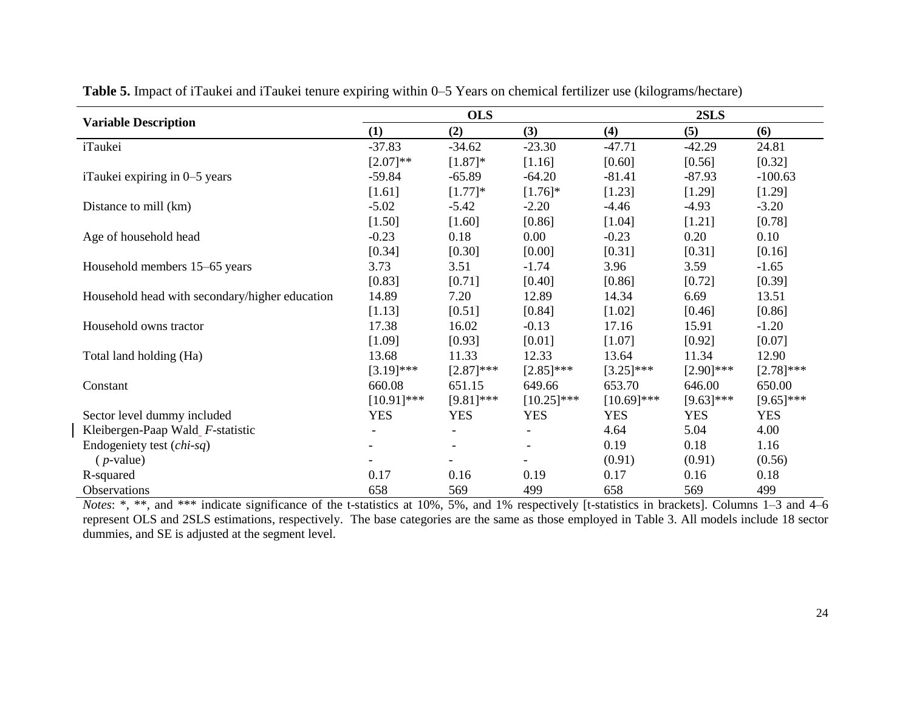|                                                |               | <b>OLS</b>   |               | 2SLS          |              |              |  |
|------------------------------------------------|---------------|--------------|---------------|---------------|--------------|--------------|--|
| <b>Variable Description</b>                    | (1)           | (2)          | (3)           | (4)           | (5)          | (6)          |  |
| iTaukei                                        | $-37.83$      | $-34.62$     | $-23.30$      | $-47.71$      | $-42.29$     | 24.81        |  |
|                                                | $[2.07]$ **   | $[1.87]$ *   | [1.16]        | [0.60]        | [0.56]       | [0.32]       |  |
| iTaukei expiring in 0–5 years                  | $-59.84$      | $-65.89$     | $-64.20$      | $-81.41$      | $-87.93$     | $-100.63$    |  |
|                                                | [1.61]        | $[1.77]$ *   | $[1.76]$ *    | [1.23]        | [1.29]       | [1.29]       |  |
| Distance to mill (km)                          | $-5.02$       | $-5.42$      | $-2.20$       | $-4.46$       | $-4.93$      | $-3.20$      |  |
|                                                | [1.50]        | [1.60]       | [0.86]        | [1.04]        | $[1.21]$     | [0.78]       |  |
| Age of household head                          | $-0.23$       | 0.18         | 0.00          | $-0.23$       | 0.20         | 0.10         |  |
|                                                | [0.34]        | [0.30]       | [0.00]        | [0.31]        | [0.31]       | [0.16]       |  |
| Household members 15-65 years                  | 3.73          | 3.51         | $-1.74$       | 3.96          | 3.59         | $-1.65$      |  |
|                                                | [0.83]        | [0.71]       | [0.40]        | $[0.86]$      | [0.72]       | [0.39]       |  |
| Household head with secondary/higher education | 14.89         | 7.20         | 12.89         | 14.34         | 6.69         | 13.51        |  |
|                                                | [1.13]        | [0.51]       | [0.84]        | [1.02]        | [0.46]       | [0.86]       |  |
| Household owns tractor                         | 17.38         | 16.02        | $-0.13$       | 17.16         | 15.91        | $-1.20$      |  |
|                                                | [1.09]        | [0.93]       | [0.01]        | $[1.07]$      | [0.92]       | [0.07]       |  |
| Total land holding (Ha)                        | 13.68         | 11.33        | 12.33         | 13.64         | 11.34        | 12.90        |  |
|                                                | $[3.19]$ ***  | $[2.87]$ *** | $[2.85]$ ***  | $[3.25]$ ***  | $[2.90]$ *** | $[2.78]$ *** |  |
| Constant                                       | 660.08        | 651.15       | 649.66        | 653.70        | 646.00       | 650.00       |  |
|                                                | $[10.91]$ *** | $[9.81]$ *** | $[10.25]$ *** | $[10.69]$ *** | $[9.63]$ *** | $[9.65]$ *** |  |
| Sector level dummy included                    | <b>YES</b>    | <b>YES</b>   | <b>YES</b>    | <b>YES</b>    | <b>YES</b>   | <b>YES</b>   |  |
| Kleibergen-Paap Wald_F-statistic               |               |              |               | 4.64          | 5.04         | 4.00         |  |
| Endogeniety test (chi-sq)                      |               |              |               | 0.19          | 0.18         | 1.16         |  |
| $(p$ -value)                                   |               |              |               | (0.91)        | (0.91)       | (0.56)       |  |
| R-squared                                      | 0.17          | 0.16         | 0.19          | 0.17          | 0.16         | 0.18         |  |
| <b>Observations</b>                            | 658           | 569          | 499           | 658           | 569          | 499          |  |

**Table 5.** Impact of iTaukei and iTaukei tenure expiring within 0–5 Years on chemical fertilizer use (kilograms/hectare)

*Notes*: \*, \*\*, and \*\*\* indicate significance of the t-statistics at 10%, 5%, and 1% respectively [t-statistics in brackets]. Columns 1–3 and 4–6 represent OLS and 2SLS estimations, respectively. The base categories are the same as those employed in Table 3. All models include 18 sector dummies, and SE is adjusted at the segment level.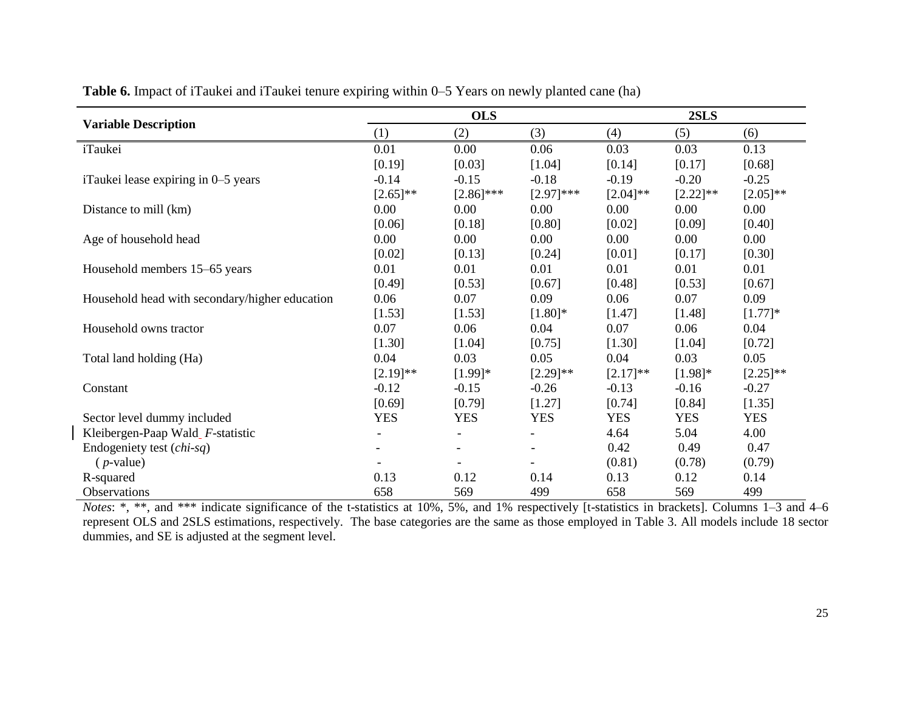|                                                |                          | <b>OLS</b>               |                          | 2SLS        |             |             |  |
|------------------------------------------------|--------------------------|--------------------------|--------------------------|-------------|-------------|-------------|--|
| <b>Variable Description</b>                    | (1)                      | (2)                      | (3)                      | (4)         | (5)         | (6)         |  |
| iTaukei                                        | 0.01                     | 0.00                     | 0.06                     | 0.03        | 0.03        | 0.13        |  |
|                                                | [0.19]                   | [0.03]                   | [1.04]                   | [0.14]      | [0.17]      | [0.68]      |  |
| iTaukei lease expiring in 0–5 years            | $-0.14$                  | $-0.15$                  | $-0.18$                  | $-0.19$     | $-0.20$     | $-0.25$     |  |
|                                                | $[2.65]^{**}$            | $[2.86]$ ***             | $[2.97]$ ***             | $[2.04]$ ** | $[2.22]$ ** | $[2.05]$ ** |  |
| Distance to mill (km)                          | 0.00                     | 0.00                     | 0.00                     | $0.00\,$    | $0.00\,$    | 0.00        |  |
|                                                | [0.06]                   | [0.18]                   | [0.80]                   | [0.02]      | [0.09]      | [0.40]      |  |
| Age of household head                          | 0.00                     | 0.00                     | $0.00\,$                 | 0.00        | $0.00\,$    | 0.00        |  |
|                                                | [0.02]                   | [0.13]                   | [0.24]                   | [0.01]      | [0.17]      | [0.30]      |  |
| Household members 15–65 years                  | 0.01                     | 0.01                     | 0.01                     | 0.01        | 0.01        | 0.01        |  |
|                                                | [0.49]                   | [0.53]                   | [0.67]                   | [0.48]      | [0.53]      | [0.67]      |  |
| Household head with secondary/higher education | 0.06                     | 0.07                     | 0.09                     | 0.06        | 0.07        | 0.09        |  |
|                                                | [1.53]                   | [1.53]                   | $[1.80]$ *               | [1.47]      | [1.48]      | $[1.77]$ *  |  |
| Household owns tractor                         | 0.07                     | 0.06                     | 0.04                     | 0.07        | 0.06        | 0.04        |  |
|                                                | [1.30]                   | [1.04]                   | [0.75]                   | [1.30]      | [1.04]      | [0.72]      |  |
| Total land holding (Ha)                        | 0.04                     | 0.03                     | 0.05                     | 0.04        | 0.03        | 0.05        |  |
|                                                | $[2.19]$ **              | $[1.99]$ *               | $[2.29]$ **              | $[2.17]$ ** | $[1.98]$ *  | $[2.25]$ ** |  |
| Constant                                       | $-0.12$                  | $-0.15$                  | $-0.26$                  | $-0.13$     | $-0.16$     | $-0.27$     |  |
|                                                | [0.69]                   | [0.79]                   | [1.27]                   | [0.74]      | [0.84]      | [1.35]      |  |
| Sector level dummy included                    | <b>YES</b>               | <b>YES</b>               | <b>YES</b>               | <b>YES</b>  | <b>YES</b>  | <b>YES</b>  |  |
| Kleibergen-Paap Wald F-statistic               | $\overline{\phantom{a}}$ | $\overline{\phantom{a}}$ | $\overline{\phantom{a}}$ | 4.64        | 5.04        | 4.00        |  |
| Endogeniety test (chi-sq)                      |                          |                          |                          | 0.42        | 0.49        | 0.47        |  |
| $(p$ -value)                                   |                          |                          |                          | (0.81)      | (0.78)      | (0.79)      |  |
| R-squared                                      | 0.13                     | 0.12                     | 0.14                     | 0.13        | 0.12        | 0.14        |  |
| <b>Observations</b>                            | 658                      | 569                      | 499                      | 658         | 569         | 499         |  |

**Table 6.** Impact of iTaukei and iTaukei tenure expiring within 0–5 Years on newly planted cane (ha)

*Notes*: \*, \*\*, and \*\*\* indicate significance of the t-statistics at 10%, 5%, and 1% respectively [t-statistics in brackets]. Columns 1–3 and 4–6 represent OLS and 2SLS estimations, respectively. The base categories are the same as those employed in Table 3. All models include 18 sector dummies, and SE is adjusted at the segment level.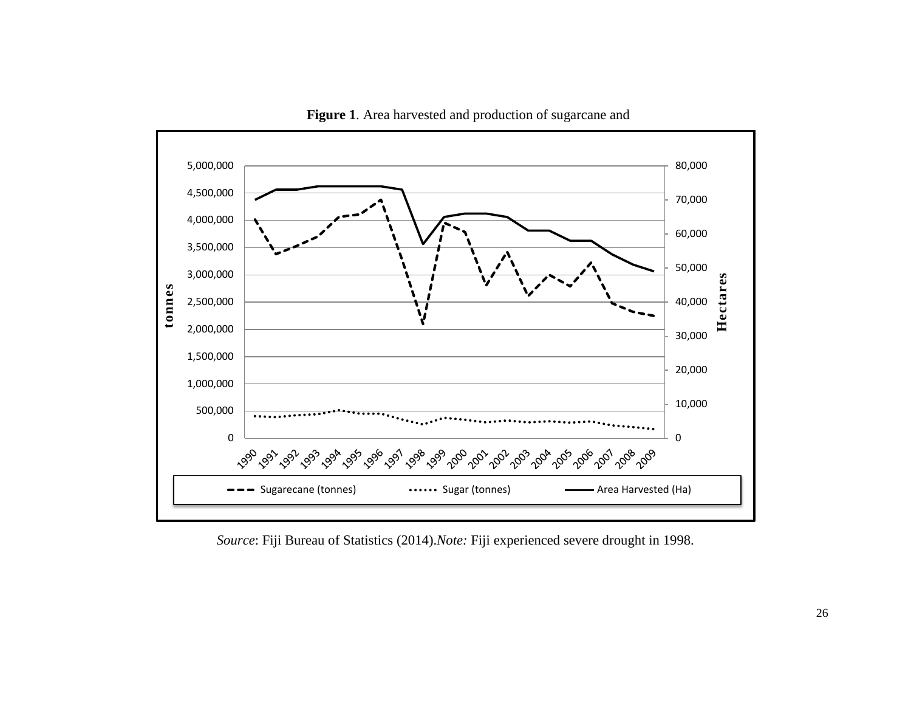

**Figure 1**. Area harvested and production of sugarcane and

*Source*: Fiji Bureau of Statistics (2014).*Note:* Fiji experienced severe drought in 1998.